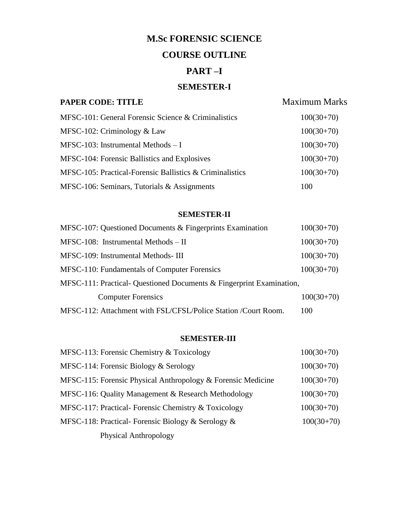# **M.Sc FORENSIC SCIENCE**

# **COURSE OUTLINE**

# **PART –I**

# **SEMESTER-I**

# **PAPER CODE: TITLE** Maximum Marks

| MFSC-101: General Forensic Science & Criminalistics      | $100(30+70)$ |
|----------------------------------------------------------|--------------|
| MFSC-102: Criminology $& Law$                            | $100(30+70)$ |
| MFSC-103: Instrumental Methods $-I$                      | $100(30+70)$ |
| MFSC-104: Forensic Ballistics and Explosives             | $100(30+70)$ |
| MFSC-105: Practical-Forensic Ballistics & Criminalistics | $100(30+70)$ |
| MFSC-106: Seminars, Tutorials $&$ Assignments            | 100          |

#### **SEMESTER-II**

| MFSC-107: Questioned Documents & Fingerprints Examination            | $100(30+70)$ |
|----------------------------------------------------------------------|--------------|
| MFSC-108: Instrumental Methods - II                                  | $100(30+70)$ |
| MFSC-109: Instrumental Methods-III                                   | $100(30+70)$ |
| MFSC-110: Fundamentals of Computer Forensics                         | $100(30+70)$ |
| MFSC-111: Practical- Questioned Documents & Fingerprint Examination, |              |
| <b>Computer Forensics</b>                                            | $100(30+70)$ |
| MFSC-112: Attachment with FSL/CFSL/Police Station /Court Room.       | 100          |

# **SEMESTER-III**

| MFSC-113: Forensic Chemistry & Toxicology                    | $100(30+70)$ |
|--------------------------------------------------------------|--------------|
| MFSC-114: Forensic Biology $&$ Serology                      | $100(30+70)$ |
| MFSC-115: Forensic Physical Anthropology & Forensic Medicine | $100(30+70)$ |
| MFSC-116: Quality Management & Research Methodology          | $100(30+70)$ |
| MFSC-117: Practical-Forensic Chemistry & Toxicology          | $100(30+70)$ |
| MFSC-118: Practical-Forensic Biology & Serology &            | $100(30+70)$ |
| Physical Anthropology                                        |              |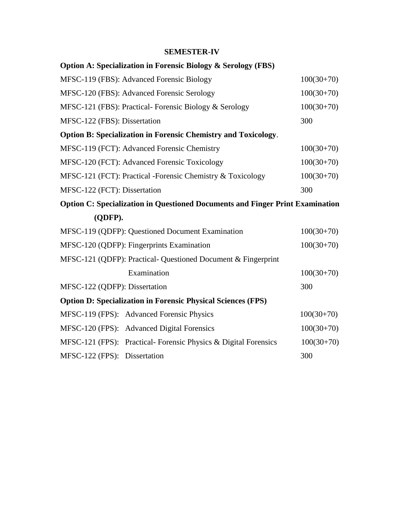# **SEMESTER-IV**

| <b>Option A: Specialization in Forensic Biology &amp; Serology (FBS)</b>             |              |
|--------------------------------------------------------------------------------------|--------------|
| MFSC-119 (FBS): Advanced Forensic Biology                                            | $100(30+70)$ |
| MFSC-120 (FBS): Advanced Forensic Serology                                           | $100(30+70)$ |
| MFSC-121 (FBS): Practical- Forensic Biology & Serology                               | $100(30+70)$ |
| MFSC-122 (FBS): Dissertation                                                         | 300          |
| <b>Option B: Specialization in Forensic Chemistry and Toxicology.</b>                |              |
| MFSC-119 (FCT): Advanced Forensic Chemistry                                          | $100(30+70)$ |
| MFSC-120 (FCT): Advanced Forensic Toxicology                                         | $100(30+70)$ |
| MFSC-121 (FCT): Practical -Forensic Chemistry & Toxicology                           | $100(30+70)$ |
| MFSC-122 (FCT): Dissertation                                                         | 300          |
| <b>Option C: Specialization in Questioned Documents and Finger Print Examination</b> |              |
| (QDFP).                                                                              |              |
| MFSC-119 (QDFP): Questioned Document Examination                                     | $100(30+70)$ |
| MFSC-120 (QDFP): Fingerprints Examination                                            | $100(30+70)$ |
| MFSC-121 (QDFP): Practical- Questioned Document & Fingerprint                        |              |
| Examination                                                                          |              |
|                                                                                      | $100(30+70)$ |
| MFSC-122 (QDFP): Dissertation                                                        | 300          |
| <b>Option D: Specialization in Forensic Physical Sciences (FPS)</b>                  |              |
| MFSC-119 (FPS): Advanced Forensic Physics                                            | $100(30+70)$ |
| MFSC-120 (FPS): Advanced Digital Forensics                                           | $100(30+70)$ |
| MFSC-121 (FPS): Practical- Forensic Physics & Digital Forensics                      | $100(30+70)$ |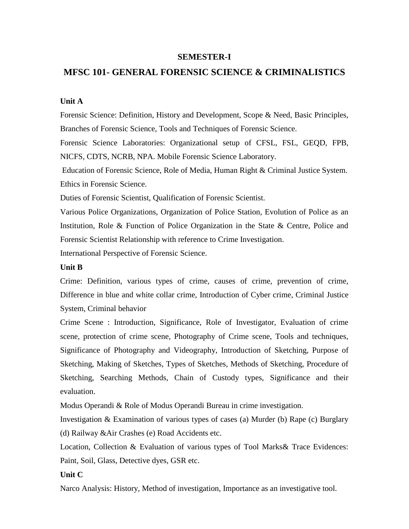#### **SEMESTER-I**

### **MFSC 101- GENERAL FORENSIC SCIENCE & CRIMINALISTICS**

#### **Unit A**

Forensic Science: Definition, History and Development, Scope & Need, Basic Principles, Branches of Forensic Science, Tools and Techniques of Forensic Science.

Forensic Science Laboratories: Organizational setup of CFSL, FSL, GEQD, FPB, NICFS, CDTS, NCRB, NPA. Mobile Forensic Science Laboratory.

Education of Forensic Science, Role of Media, Human Right & Criminal Justice System. Ethics in Forensic Science.

Duties of Forensic Scientist, Qualification of Forensic Scientist.

Various Police Organizations, Organization of Police Station, Evolution of Police as an Institution, Role & Function of Police Organization in the State & Centre, Police and Forensic Scientist Relationship with reference to Crime Investigation.

International Perspective of Forensic Science.

#### **Unit B**

Crime: Definition, various types of crime, causes of crime, prevention of crime, Difference in blue and white collar crime, Introduction of Cyber crime, Criminal Justice System, Criminal behavior

Crime Scene : Introduction, Significance, Role of Investigator, Evaluation of crime scene, protection of crime scene, Photography of Crime scene, Tools and techniques, Significance of Photography and Videography, Introduction of Sketching, Purpose of Sketching, Making of Sketches, Types of Sketches, Methods of Sketching, Procedure of Sketching, Searching Methods, Chain of Custody types, Significance and their evaluation.

Modus Operandi & Role of Modus Operandi Bureau in crime investigation.

Investigation & Examination of various types of cases (a) Murder (b) Rape (c) Burglary (d) Railway &Air Crashes (e) Road Accidents etc.

Location, Collection & Evaluation of various types of Tool Marks& Trace Evidences: Paint, Soil, Glass, Detective dyes, GSR etc.

#### **Unit C**

Narco Analysis: History, Method of investigation, Importance as an investigative tool.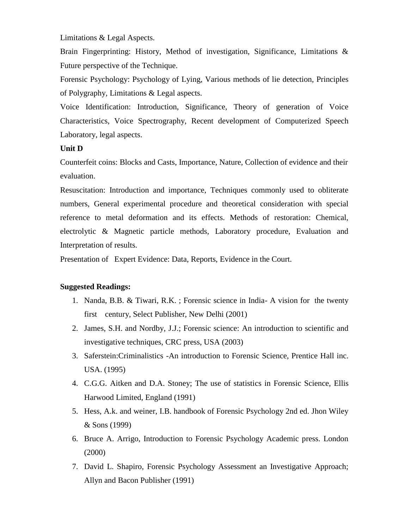Limitations & Legal Aspects.

Brain Fingerprinting: History, Method of investigation, Significance, Limitations & Future perspective of the Technique.

Forensic Psychology: Psychology of Lying, Various methods of lie detection, Principles of Polygraphy, Limitations & Legal aspects.

Voice Identification: Introduction, Significance, Theory of generation of Voice Characteristics, Voice Spectrography, Recent development of Computerized Speech Laboratory, legal aspects.

#### **Unit D**

Counterfeit coins: Blocks and Casts, Importance, Nature, Collection of evidence and their evaluation.

Resuscitation: Introduction and importance, Techniques commonly used to obliterate numbers, General experimental procedure and theoretical consideration with special reference to metal deformation and its effects. Methods of restoration: Chemical, electrolytic & Magnetic particle methods, Laboratory procedure, Evaluation and Interpretation of results.

Presentation of Expert Evidence: Data, Reports, Evidence in the Court.

- 1. Nanda, B.B. & Tiwari, R.K. ; Forensic science in India- A vision for the twenty first century, Select Publisher, New Delhi (2001)
- 2. James, S.H. and Nordby, J.J.; Forensic science: An introduction to scientific and investigative techniques, CRC press, USA (2003)
- 3. Saferstein:Criminalistics -An introduction to Forensic Science, Prentice Hall inc. USA. (1995)
- 4. C.G.G. Aitken and D.A. Stoney; The use of statistics in Forensic Science, Ellis Harwood Limited, England (1991)
- 5. Hess, A.k. and weiner, I.B. handbook of Forensic Psychology 2nd ed. Jhon Wiley & Sons (1999)
- 6. Bruce A. Arrigo, Introduction to Forensic Psychology Academic press. London (2000)
- 7. David L. Shapiro, Forensic Psychology Assessment an Investigative Approach; Allyn and Bacon Publisher (1991)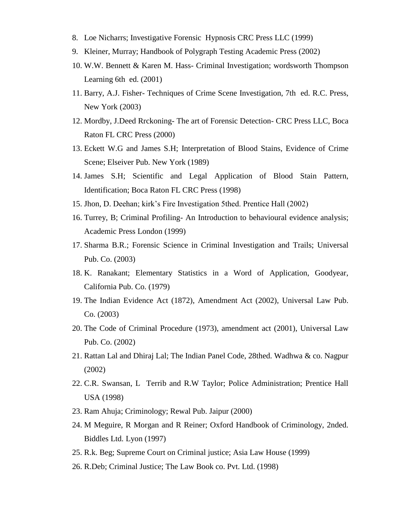- 8. Loe Nicharrs; Investigative Forensic Hypnosis CRC Press LLC (1999)
- 9. Kleiner, Murray; Handbook of Polygraph Testing Academic Press (2002)
- 10. W.W. Bennett & Karen M. Hass- Criminal Investigation; wordsworth Thompson Learning 6th ed. (2001)
- 11. Barry, A.J. Fisher- Techniques of Crime Scene Investigation, 7th ed. R.C. Press, New York (2003)
- 12. Mordby, J.Deed Rrckoning- The art of Forensic Detection- CRC Press LLC, Boca Raton FL CRC Press (2000)
- 13. Eckett W.G and James S.H; Interpretation of Blood Stains, Evidence of Crime Scene; Elseiver Pub. New York (1989)
- 14. James S.H; Scientific and Legal Application of Blood Stain Pattern, Identification; Boca Raton FL CRC Press (1998)
- 15. Jhon, D. Deehan; kirk's Fire Investigation 5thed. Prentice Hall (2002)
- 16. Turrey, B; Criminal Profiling- An Introduction to behavioural evidence analysis; Academic Press London (1999)
- 17. Sharma B.R.; Forensic Science in Criminal Investigation and Trails; Universal Pub. Co. (2003)
- 18. K. Ranakant; Elementary Statistics in a Word of Application, Goodyear, California Pub. Co. (1979)
- 19. The Indian Evidence Act (1872), Amendment Act (2002), Universal Law Pub. Co. (2003)
- 20. The Code of Criminal Procedure (1973), amendment act (2001), Universal Law Pub. Co. (2002)
- 21. Rattan Lal and Dhiraj Lal; The Indian Panel Code, 28thed. Wadhwa & co. Nagpur (2002)
- 22. C.R. Swansan, L Terrib and R.W Taylor; Police Administration; Prentice Hall USA (1998)
- 23. Ram Ahuja; Criminology; Rewal Pub. Jaipur (2000)
- 24. M Meguire, R Morgan and R Reiner; Oxford Handbook of Criminology, 2nded. Biddles Ltd. Lyon (1997)
- 25. R.k. Beg; Supreme Court on Criminal justice; Asia Law House (1999)
- 26. R.Deb; Criminal Justice; The Law Book co. Pvt. Ltd. (1998)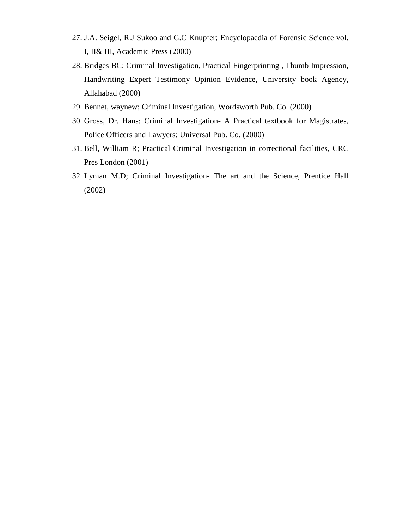- 27. J.A. Seigel, R.J Sukoo and G.C Knupfer; Encyclopaedia of Forensic Science vol. I, II& III, Academic Press (2000)
- 28. Bridges BC; Criminal Investigation, Practical Fingerprinting , Thumb Impression, Handwriting Expert Testimony Opinion Evidence, University book Agency, Allahabad (2000)
- 29. Bennet, waynew; Criminal Investigation, Wordsworth Pub. Co. (2000)
- 30. Gross, Dr. Hans; Criminal Investigation- A Practical textbook for Magistrates, Police Officers and Lawyers; Universal Pub. Co. (2000)
- 31. Bell, William R; Practical Criminal Investigation in correctional facilities, CRC Pres London (2001)
- 32. Lyman M.D; Criminal Investigation- The art and the Science, Prentice Hall (2002)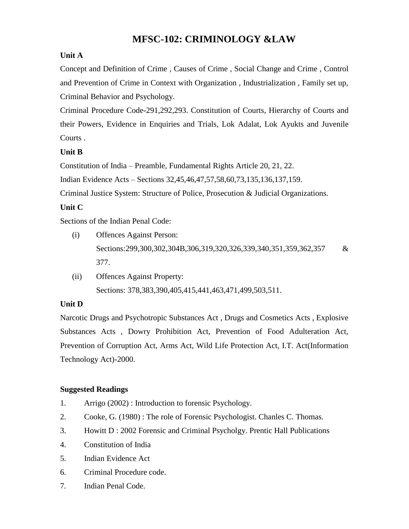# **MFSC-102: CRIMINOLOGY &LAW**

# **Unit A**

Concept and Definition of Crime , Causes of Crime , Social Change and Crime , Control and Prevention of Crime in Context with Organization , Industrialization , Family set up, Criminal Behavior and Psychology.

Criminal Procedure Code-291,292,293. Constitution of Courts, Hierarchy of Courts and their Powers, Evidence in Enquiries and Trials, Lok Adalat, Lok Ayukts and Juvenile Courts .

# **Unit B**

Constitution of India – Preamble, Fundamental Rights Article 20, 21, 22.

Indian Evidence Acts – Sections 32,45,46,47,57,58,60,73,135,136,137,159.

Criminal Justice System: Structure of Police, Prosecution & Judicial Organizations.

# **Unit C**

Sections of the Indian Penal Code:

- (i) Offences Against Person: Sections:299,300,302,304B,306,319,320,326,339,340,351,359,362,357 & 377.
- (ii) Offences Against Property: Sections: 378,383,390,405,415,441,463,471,499,503,511.

# **Unit D**

Narcotic Drugs and Psychotropic Substances Act , Drugs and Cosmetics Acts , Explosive Substances Acts , Dowry Prohibition Act, Prevention of Food Adulteration Act, Prevention of Corruption Act, Arms Act, Wild Life Protection Act, I.T. Act(Information Technology Act)-2000.

- 1. Arrigo (2002) : Introduction to forensic Psychology.
- 2. Cooke, G. (1980) : The role of Forensic Psychologist. Chanles C. Thomas.
- 3. Howitt D : 2002 Forensic and Criminal Psycholgy. Prentic Hall Publications
- 4. Constitution of India
- 5. Indian Evidence Act
- 6. Criminal Procedure code.
- 7. Indian Penal Code.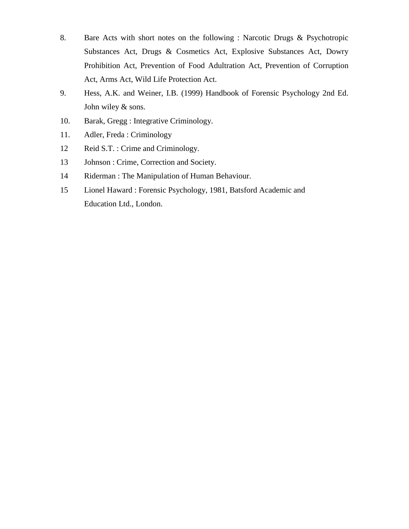- 8. Bare Acts with short notes on the following : Narcotic Drugs & Psychotropic Substances Act, Drugs & Cosmetics Act, Explosive Substances Act, Dowry Prohibition Act, Prevention of Food Adultration Act, Prevention of Corruption Act, Arms Act, Wild Life Protection Act.
- 9. Hess, A.K. and Weiner, I.B. (1999) Handbook of Forensic Psychology 2nd Ed. John wiley & sons.
- 10. Barak, Gregg : Integrative Criminology.
- 11. Adler, Freda : Criminology
- 12 Reid S.T. : Crime and Criminology.
- 13 Johnson : Crime, Correction and Society.
- 14 Riderman : The Manipulation of Human Behaviour.
- 15 Lionel Haward : Forensic Psychology, 1981, Batsford Academic and Education Ltd., London.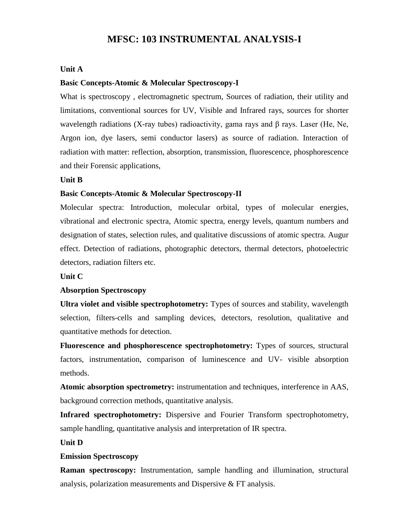# **MFSC: 103 INSTRUMENTAL ANALYSIS-I**

#### **Unit A**

#### **Basic Concepts-Atomic & Molecular Spectroscopy-I**

What is spectroscopy , electromagnetic spectrum, Sources of radiation, their utility and limitations, conventional sources for UV, Visible and Infrared rays, sources for shorter wavelength radiations (X-ray tubes) radioactivity, gama rays and  $\beta$  rays. Laser (He, Ne, Argon ion, dye lasers, semi conductor lasers) as source of radiation. Interaction of radiation with matter: reflection, absorption, transmission, fluorescence, phosphorescence and their Forensic applications,

#### **Unit B**

#### **Basic Concepts-Atomic & Molecular Spectroscopy-II**

Molecular spectra: Introduction, molecular orbital, types of molecular energies, vibrational and electronic spectra, Atomic spectra, energy levels, quantum numbers and designation of states, selection rules, and qualitative discussions of atomic spectra. Augur effect. Detection of radiations, photographic detectors, thermal detectors, photoelectric detectors, radiation filters etc.

#### **Unit C**

#### **Absorption Spectroscopy**

**Ultra violet and visible spectrophotometry:** Types of sources and stability, wavelength selection, filters-cells and sampling devices, detectors, resolution, qualitative and quantitative methods for detection.

**Fluorescence and phosphorescence spectrophotometry:** Types of sources, structural factors, instrumentation, comparison of luminescence and UV- visible absorption methods.

**Atomic absorption spectrometry:** instrumentation and techniques, interference in AAS, background correction methods, quantitative analysis.

**Infrared spectrophotometry:** Dispersive and Fourier Transform spectrophotometry, sample handling, quantitative analysis and interpretation of IR spectra.

#### **Unit D**

#### **Emission Spectroscopy**

**Raman spectroscopy:** Instrumentation, sample handling and illumination, structural analysis, polarization measurements and Dispersive & FT analysis.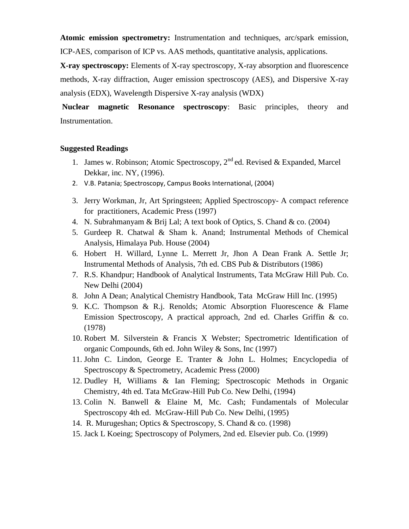**Atomic emission spectrometry:** Instrumentation and techniques, arc/spark emission, ICP-AES, comparison of ICP vs. AAS methods, quantitative analysis, applications.

**X-ray spectroscopy:** Elements of X-ray spectroscopy, X-ray absorption and fluorescence methods, X-ray diffraction, Auger emission spectroscopy (AES), and Dispersive X-ray analysis (EDX), Wavelength Dispersive X-ray analysis (WDX)

**Nuclear magnetic Resonance spectroscopy**: Basic principles, theory and Instrumentation.

- 1. James w. Robinson; Atomic Spectroscopy,  $2^{nd}$  ed. Revised & Expanded, Marcel Dekkar, inc. NY, (1996).
- 2. V.B. Patania; Spectroscopy, Campus Books International, (2004)
- 3. Jerry Workman, Jr, Art Springsteen; Applied Spectroscopy- A compact reference for practitioners, Academic Press (1997)
- 4. N. Subrahmanyam & Brij Lal; A text book of Optics, S. Chand & co. (2004)
- 5. Gurdeep R. Chatwal & Sham k. Anand; Instrumental Methods of Chemical Analysis, Himalaya Pub. House (2004)
- 6. Hobert H. Willard, Lynne L. Merrett Jr, Jhon A Dean Frank A. Settle Jr; Instrumental Methods of Analysis, 7th ed. CBS Pub & Distributors (1986)
- 7. R.S. Khandpur; Handbook of Analytical Instruments, Tata McGraw Hill Pub. Co. New Delhi (2004)
- 8. John A Dean; Analytical Chemistry Handbook, Tata McGraw Hill Inc. (1995)
- 9. K.C. Thompson & R.j. Renolds; Atomic Absorption Fluorescence & Flame Emission Spectroscopy, A practical approach, 2nd ed. Charles Griffin & co. (1978)
- 10. Robert M. Silverstein & Francis X Webster; Spectrometric Identification of organic Compounds, 6th ed. John Wiley & Sons, Inc (1997)
- 11. John C. Lindon, George E. Tranter & John L. Holmes; Encyclopedia of Spectroscopy & Spectrometry, Academic Press (2000)
- 12. Dudley H, Williams & Ian Fleming; Spectroscopic Methods in Organic Chemistry, 4th ed. Tata McGraw-Hill Pub Co. New Delhi, (1994)
- 13. Colin N. Banwell & Elaine M, Mc. Cash; Fundamentals of Molecular Spectroscopy 4th ed. McGraw-Hill Pub Co. New Delhi, (1995)
- 14. R. Murugeshan; Optics & Spectroscopy, S. Chand & co. (1998)
- 15. Jack L Koeing; Spectroscopy of Polymers, 2nd ed. Elsevier pub. Co. (1999)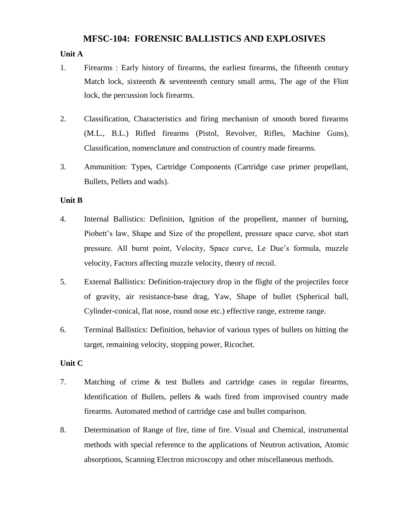# **MFSC-104: FORENSIC BALLISTICS AND EXPLOSIVES**

# **Unit A**

- 1. Firearms : Early history of firearms, the earliest firearms, the fifteenth century Match lock, sixteenth  $\&$  seventeenth century small arms, The age of the Flint lock, the percussion lock firearms.
- 2. Classification, Characteristics and firing mechanism of smooth bored firearms (M.L., B.L.) Rifled firearms (Pistol, Revolver, Rifles, Machine Guns), Classification, nomenclature and construction of country made firearms.
- 3. Ammunition: Types, Cartridge Components (Cartridge case primer propellant, Bullets, Pellets and wads).

#### **Unit B**

- 4. Internal Ballistics: Definition, Ignition of the propellent, manner of burning, Piobett's law, Shape and Size of the propellent, pressure space curve, shot start pressure. All burnt point, Velocity, Space curve, Le Due's formula, muzzle velocity, Factors affecting muzzle velocity, theory of recoil.
- 5. External Ballistics: Definition-trajectory drop in the flight of the projectiles force of gravity, air resistance-base drag, Yaw, Shape of bullet (Spherical ball, Cylinder-conical, flat nose, round nose etc.) effective range, extreme range.
- 6. Terminal Ballistics: Definition, behavior of various types of bullets on hitting the target, remaining velocity, stopping power, Ricochet.

#### **Unit C**

- 7. Matching of crime & test Bullets and cartridge cases in regular firearms, Identification of Bullets, pellets & wads fired from improvised country made firearms. Automated method of cartridge case and bullet comparison.
- 8. Determination of Range of fire, time of fire. Visual and Chemical, instrumental methods with special reference to the applications of Neutron activation, Atomic absorptions, Scanning Electron microscopy and other miscellaneous methods.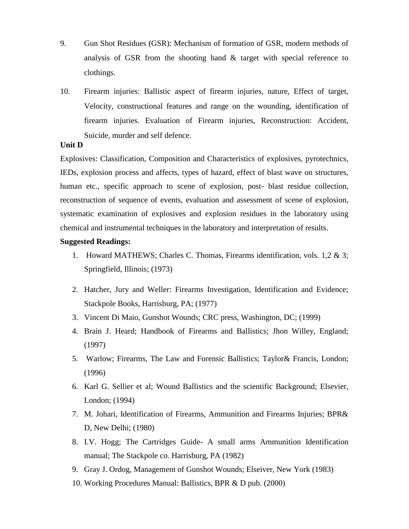- 9. Gun Shot Residues (GSR): Mechanism of formation of GSR, modern methods of analysis of GSR from the shooting hand & target with special reference to clothings.
- 10. Firearm injuries: Ballistic aspect of firearm injuries, nature, Effect of target, Velocity, constructional features and range on the wounding, identification of firearm injuries. Evaluation of Firearm injuries, Reconstruction: Accident, Suicide, murder and self defence.

#### **Unit D**

Explosives: Classification, Composition and Characteristics of explosives, pyrotechnics, IEDs, explosion process and affects, types of hazard, effect of blast wave on structures, human etc., specific approach to scene of explosion, post- blast residue collection, reconstruction of sequence of events, evaluation and assessment of scene of explosion, systematic examination of explosives and explosion residues in the laboratory using chemical and instrumental techniques in the laboratory and interpretation of results.

- 1. Howard MATHEWS; Charles C. Thomas, Firearms identification, vols. 1,2 & 3; Springfield, Illinois; (1973)
- 2. Hatcher, Jury and Weller: Firearms Investigation, Identification and Evidence; Stackpole Books, Harrisburg, PA; (1977)
- 3. Vincent Di Maio, Gunshot Wounds; CRC press, Washington, DC; (1999)
- 4. Brain J. Heard; Handbook of Firearms and Ballistics; Jhon Willey, England; (1997)
- 5. Warlow; Firearms, The Law and Forensic Ballistics; Taylor& Francis, London; (1996)
- 6. Karl G. Sellier et al; Wound Ballistics and the scientific Background; Elsevier, London; (1994)
- 7. M. Johari, Identification of Firearms, Ammunition and Firearms Injuries; BPR& D, New Delhi; (1980)
- 8. I.V. Hogg; The Cartridges Guide- A small arms Ammunition Identification manual; The Stackpole co. Harrisburg, PA (1982)
- 9. Gray J. Ordog, Management of Gunshot Wounds; Elseiver, New York (1983)
- 10. Working Procedures Manual: Ballistics, BPR & D pub. (2000)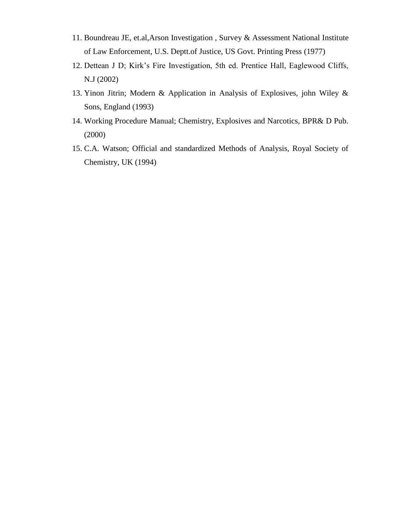- 11. Boundreau JE, et.al,Arson Investigation , Survey & Assessment National Institute of Law Enforcement, U.S. Deptt.of Justice, US Govt. Printing Press (1977)
- 12. Dettean J D; Kirk's Fire Investigation, 5th ed. Prentice Hall, Eaglewood Cliffs, N.J (2002)
- 13. Yinon Jitrin; Modern & Application in Analysis of Explosives, john Wiley & Sons, England (1993)
- 14. Working Procedure Manual; Chemistry, Explosives and Narcotics, BPR& D Pub. (2000)
- 15. C.A. Watson; Official and standardized Methods of Analysis, Royal Society of Chemistry, UK (1994)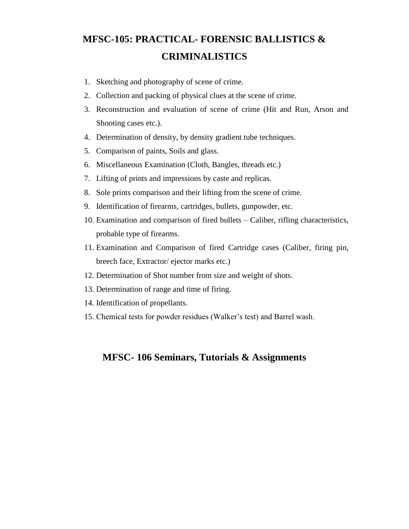# **MFSC-105: PRACTICAL- FORENSIC BALLISTICS & CRIMINALISTICS**

- 1. Sketching and photography of scene of crime.
- 2. Collection and packing of physical clues at the scene of crime.
- 3. Reconstruction and evaluation of scene of crime (Hit and Run, Arson and Shooting cases etc.).
- 4. Determination of density, by density gradient tube techniques.
- 5. Comparison of paints, Soils and glass.
- 6. Miscellaneous Examination (Cloth, Bangles, threads etc.)
- 7. Lifting of prints and impressions by caste and replicas.
- 8. Sole prints comparison and their lifting from the scene of crime.
- 9. Identification of firearms, cartridges, bullets, gunpowder, etc.
- 10. Examination and comparison of fired bullets Caliber, rifling characteristics, probable type of firearms.
- 11. Examination and Comparison of fired Cartridge cases (Caliber, firing pin, breech face, Extractor/ ejector marks etc.)
- 12. Determination of Shot number from size and weight of shots.
- 13. Determination of range and time of firing.
- 14. Identification of propellants.
- 15. Chemical tests for powder residues (Walker's test) and Barrel wash.

# **MFSC- 106 Seminars, Tutorials & Assignments**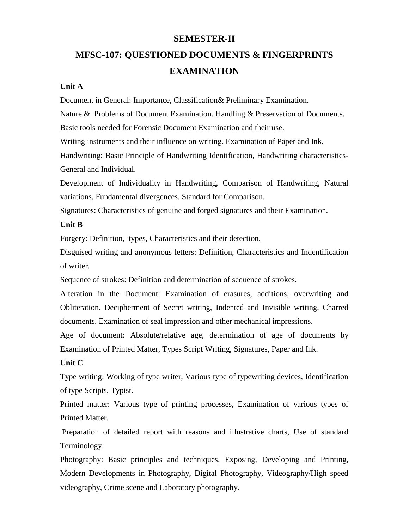# **SEMESTER-II**

# **MFSC-107: QUESTIONED DOCUMENTS & FINGERPRINTS EXAMINATION**

#### **Unit A**

Document in General: Importance, Classification& Preliminary Examination.

Nature & Problems of Document Examination. Handling & Preservation of Documents.

Basic tools needed for Forensic Document Examination and their use.

Writing instruments and their influence on writing. Examination of Paper and Ink.

Handwriting: Basic Principle of Handwriting Identification, Handwriting characteristics-General and Individual.

Development of Individuality in Handwriting, Comparison of Handwriting, Natural variations, Fundamental divergences. Standard for Comparison.

Signatures: Characteristics of genuine and forged signatures and their Examination.

#### **Unit B**

Forgery: Definition, types, Characteristics and their detection.

Disguised writing and anonymous letters: Definition, Characteristics and Indentification of writer.

Sequence of strokes: Definition and determination of sequence of strokes.

Alteration in the Document: Examination of erasures, additions, overwriting and Obliteration. Decipherment of Secret writing, Indented and Invisible writing, Charred documents. Examination of seal impression and other mechanical impressions.

Age of document: Absolute/relative age, determination of age of documents by Examination of Printed Matter, Types Script Writing, Signatures, Paper and Ink.

#### **Unit C**

Type writing: Working of type writer, Various type of typewriting devices, Identification of type Scripts, Typist.

Printed matter: Various type of printing processes, Examination of various types of Printed Matter.

Preparation of detailed report with reasons and illustrative charts, Use of standard Terminology.

Photography: Basic principles and techniques, Exposing, Developing and Printing, Modern Developments in Photography, Digital Photography, Videography/High speed videography, Crime scene and Laboratory photography.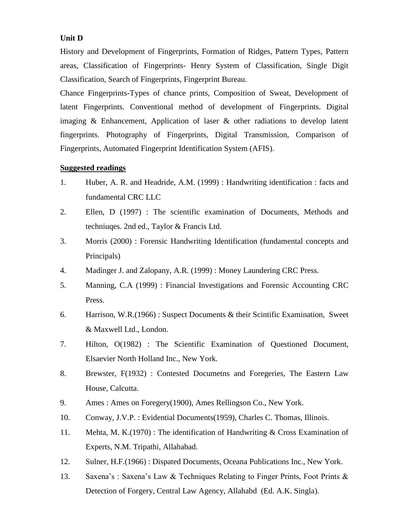#### **Unit D**

History and Development of Fingerprints, Formation of Ridges, Pattern Types, Pattern areas, Classification of Fingerprints- Henry System of Classification, Single Digit Classification, Search of Fingerprints, Fingerprint Bureau.

Chance Fingerprints-Types of chance prints, Composition of Sweat, Development of latent Fingerprints. Conventional method of development of Fingerprints. Digital imaging & Enhancement, Application of laser & other radiations to develop latent fingerprints. Photography of Fingerprints, Digital Transmission, Comparison of Fingerprints, Automated Fingerprint Identification System (AFIS).

- 1. Huber, A. R. and Headride, A.M. (1999) : Handwriting identification : facts and fundamental CRC LLC
- 2. Ellen, D (1997) : The scientific examination of Documents, Methods and techniuqes. 2nd ed., Taylor & Francis Ltd.
- 3. Morris (2000) : Forensic Handwriting Identification (fundamental concepts and Principals)
- 4. Madinger J. and Zalopany, A.R. (1999) : Money Laundering CRC Press.
- 5. Manning, C.A (1999) : Financial Investigations and Forensic Accounting CRC Press.
- 6. Harrison, W.R.(1966) : Suspect Documents & their Scintific Examination, Sweet & Maxwell Ltd., London.
- 7. Hilton, O(1982) : The Scientific Examination of Questioned Document, Elsaevier North Holland Inc., New York.
- 8. Brewster, F(1932) : Contested Documetns and Foregeries, The Eastern Law House, Calcutta.
- 9. Ames : Ames on Foregery(1900), Ames Rellingson Co., New York.
- 10. Conway, J.V.P. : Evidential Documents(1959), Charles C. Thomas, Illinois.
- 11. Mehta, M. K.(1970) : The identification of Handwriting & Cross Examination of Experts, N.M. Tripathi, Allahabad.
- 12. Sulner, H.F.(1966) : Dispated Documents, Oceana Publications Inc., New York.
- 13. Saxena's : Saxena's Law & Techniques Relating to Finger Prints, Foot Prints & Detection of Forgery, Central Law Agency, Allahabd (Ed. A.K. Singla).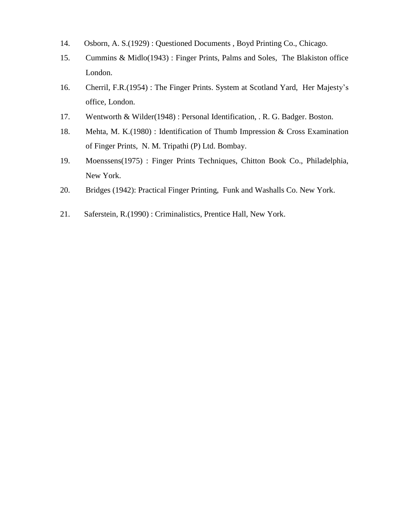- 14. Osborn, A. S.(1929) : Questioned Documents , Boyd Printing Co., Chicago.
- 15. Cummins & Midlo(1943) : Finger Prints, Palms and Soles, The Blakiston office London.
- 16. Cherril, F.R.(1954) : The Finger Prints. System at Scotland Yard, Her Majesty's office, London.
- 17. Wentworth & Wilder(1948) : Personal Identification, . R. G. Badger. Boston.
- 18. Mehta, M. K.(1980) : Identification of Thumb Impression & Cross Examination of Finger Prints, N. M. Tripathi (P) Ltd. Bombay.
- 19. Moenssens(1975) : Finger Prints Techniques, Chitton Book Co., Philadelphia, New York.
- 20. Bridges (1942): Practical Finger Printing, Funk and Washalls Co. New York.
- 21. Saferstein, R.(1990) : Criminalistics, Prentice Hall, New York.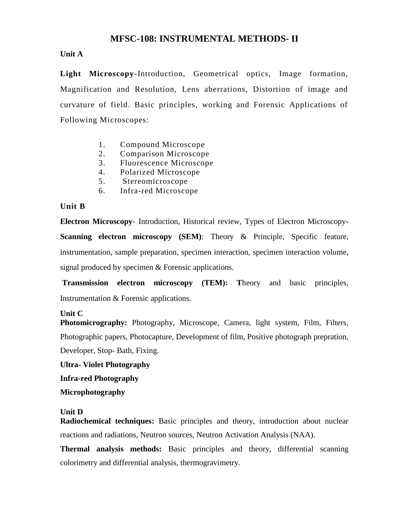# **MFSC-108: INSTRUMENTAL METHODS- II**

#### **Unit A**

**Light Microscopy**-Introduction, Geometrical optics, Image formation, Magnification and Resolution, Lens aberrations, Distortion of image and curvature of field. Basic principles, working and Forensic Applications of Following Microscopes:

- 1. Compound Microscope
- 2. Comparison Microscope
- 3. Fluorescence Microscope
- 4. Polarized Microscope
- 5. Stereomicroscope
- 6. Infra-red Microscope

#### **Unit B**

**Electron Microscopy**- Introduction, Historical review, Types of Electron Microscopy-**Scanning electron microscopy (SEM):** Theory & Principle, Specific feature, instrumentation, sample preparation, specimen interaction, specimen interaction volume, signal produced by specimen & Forensic applications.

**Transmission electron microscopy (TEM): T**heory and basic principles, Instrumentation & Forensic applications.

#### **Unit C**

**Photomicrography:** Photography, Microscope, Camera, light system, Film, Filters, Photographic papers, Photocapture, Development of film, Positive photograph prepration, Developer, Stop- Bath, Fixing.

**Ultra- Violet Photography**

**Infra-red Photography**

**Microphotography**

#### **Unit D**

**Radiochemical techniques:** Basic principles and theory, introduction about nuclear reactions and radiations, Neutron sources, Neutron Activation Analysis (NAA).

**Thermal analysis methods:** Basic principles and theory, differential scanning colorimetry and differential analysis, thermogravimetry.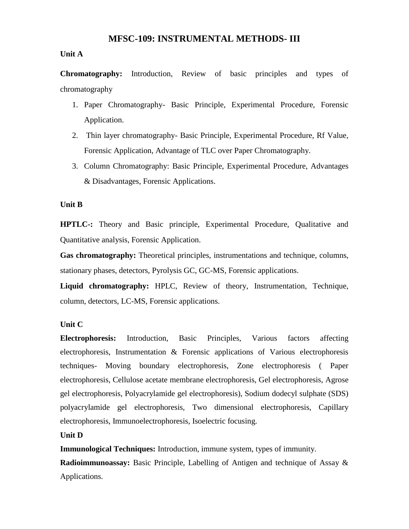# **MFSC-109: INSTRUMENTAL METHODS- III**

#### **Unit A**

**Chromatography:** Introduction, Review of basic principles and types of chromatography

- 1. Paper Chromatography- Basic Principle, Experimental Procedure, Forensic Application.
- 2. Thin layer chromatography- Basic Principle, Experimental Procedure, Rf Value, Forensic Application, Advantage of TLC over Paper Chromatography.
- 3. Column Chromatography: Basic Principle, Experimental Procedure, Advantages & Disadvantages, Forensic Applications.

#### **Unit B**

**HPTLC-:** Theory and Basic principle, Experimental Procedure, Qualitative and Quantitative analysis, Forensic Application.

**Gas chromatography:** Theoretical principles, instrumentations and technique, columns, stationary phases, detectors, Pyrolysis GC, GC-MS, Forensic applications.

**Liquid chromatography:** HPLC, Review of theory, Instrumentation, Technique, column, detectors, LC-MS, Forensic applications.

# **Unit C**

**Electrophoresis:** Introduction, Basic Principles, Various factors affecting electrophoresis, Instrumentation & Forensic applications of Various electrophoresis techniques- Moving boundary electrophoresis, Zone electrophoresis ( Paper electrophoresis, Cellulose acetate membrane electrophoresis, Gel electrophoresis, Agrose gel electrophoresis, Polyacrylamide gel electrophoresis), Sodium dodecyl sulphate (SDS) polyacrylamide gel electrophoresis, Two dimensional electrophoresis, Capillary electrophoresis, Immunoelectrophoresis, Isoelectric focusing.

#### **Unit D**

**Immunological Techniques:** Introduction, immune system, types of immunity.

**Radioimmunoassay:** Basic Principle, Labelling of Antigen and technique of Assay & Applications.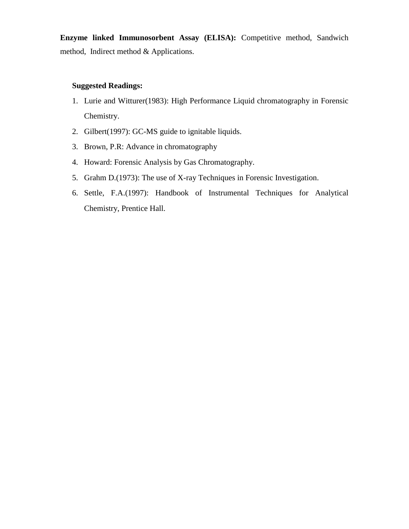**Enzyme linked Immunosorbent Assay (ELISA):** Competitive method, Sandwich method, Indirect method & Applications.

- 1. Lurie and Witturer(1983): High Performance Liquid chromatography in Forensic Chemistry.
- 2. Gilbert(1997): GC-MS guide to ignitable liquids.
- 3. Brown, P.R: Advance in chromatography
- 4. Howard: Forensic Analysis by Gas Chromatography.
- 5. Grahm D.(1973): The use of X-ray Techniques in Forensic Investigation.
- 6. Settle, F.A.(1997): Handbook of Instrumental Techniques for Analytical Chemistry, Prentice Hall.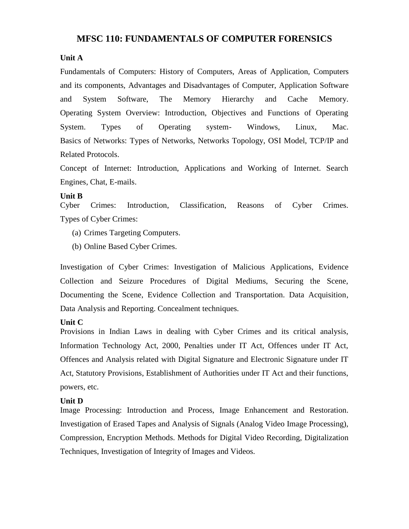# **MFSC 110: FUNDAMENTALS OF COMPUTER FORENSICS**

#### **Unit A**

Fundamentals of Computers: History of Computers, Areas of Application, Computers and its components, Advantages and Disadvantages of Computer, Application Software and System Software, The Memory Hierarchy and Cache Memory. Operating System Overview: Introduction, Objectives and Functions of Operating System. Types of Operating system- Windows, Linux, Mac. Basics of Networks: Types of Networks, Networks Topology, OSI Model, TCP/IP and Related Protocols.

Concept of Internet: Introduction, Applications and Working of Internet. Search Engines, Chat, E-mails.

#### **Unit B**

Cyber Crimes: Introduction, Classification, Reasons of Cyber Crimes. Types of Cyber Crimes:

- (a) Crimes Targeting Computers.
- (b) Online Based Cyber Crimes.

Investigation of Cyber Crimes: Investigation of Malicious Applications, Evidence Collection and Seizure Procedures of Digital Mediums, Securing the Scene, Documenting the Scene, Evidence Collection and Transportation. Data Acquisition, Data Analysis and Reporting. Concealment techniques.

#### **Unit C**

Provisions in Indian Laws in dealing with Cyber Crimes and its critical analysis, Information Technology Act, 2000, Penalties under IT Act, Offences under IT Act, Offences and Analysis related with Digital Signature and Electronic Signature under IT Act, Statutory Provisions, Establishment of Authorities under IT Act and their functions, powers, etc.

#### **Unit D**

Image Processing: Introduction and Process, Image Enhancement and Restoration. Investigation of Erased Tapes and Analysis of Signals (Analog Video Image Processing), Compression, Encryption Methods. Methods for Digital Video Recording, Digitalization Techniques, Investigation of Integrity of Images and Videos.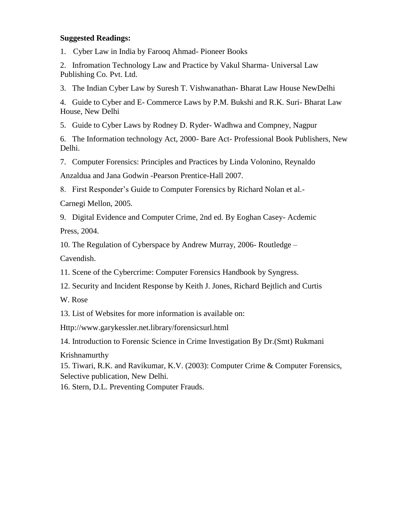#### **Suggested Readings:**

1. Cyber Law in India by Farooq Ahmad- Pioneer Books

2. Infromation Technology Law and Practice by Vakul Sharma- Universal Law Publishing Co. Pvt. Ltd.

3. The Indian Cyber Law by Suresh T. Vishwanathan- Bharat Law House NewDelhi

4. Guide to Cyber and E- Commerce Laws by P.M. Bukshi and R.K. Suri- Bharat Law House, New Delhi

5. Guide to Cyber Laws by Rodney D. Ryder- Wadhwa and Compney, Nagpur

6. The Information technology Act, 2000- Bare Act- Professional Book Publishers, New Delhi.

7. Computer Forensics: Principles and Practices by Linda Volonino, Reynaldo

Anzaldua and Jana Godwin -Pearson Prentice-Hall 2007.

8. First Responder's Guide to Computer Forensics by Richard Nolan et al.-

Carnegi Mellon, 2005.

9. Digital Evidence and Computer Crime, 2nd ed. By Eoghan Casey- Acdemic

Press, 2004.

10. The Regulation of Cyberspace by Andrew Murray, 2006- Routledge –

Cavendish.

11. Scene of the Cybercrime: Computer Forensics Handbook by Syngress.

12. Security and Incident Response by Keith J. Jones, Richard Bejtlich and Curtis

W. Rose

13. List of Websites for more information is available on:

[Http://www.garykessler.net.library/forensicsurl.html](http://www.garykessler.net.library/forensicsurl.html)

14. Introduction to Forensic Science in Crime Investigation By Dr.(Smt) Rukmani

Krishnamurthy

15. Tiwari, R.K. and Ravikumar, K.V. (2003): Computer Crime & Computer Forensics, Selective publication, New Delhi.

16. Stern, D.L. Preventing Computer Frauds.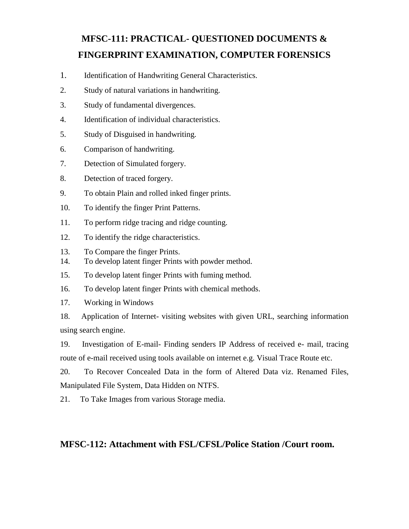# **MFSC-111: PRACTICAL- QUESTIONED DOCUMENTS & FINGERPRINT EXAMINATION, COMPUTER FORENSICS**

- 1. Identification of Handwriting General Characteristics.
- 2. Study of natural variations in handwriting.
- 3. Study of fundamental divergences.
- 4. Identification of individual characteristics.
- 5. Study of Disguised in handwriting.
- 6. Comparison of handwriting.
- 7. Detection of Simulated forgery.
- 8. Detection of traced forgery.
- 9. To obtain Plain and rolled inked finger prints.
- 10. To identify the finger Print Patterns.
- 11. To perform ridge tracing and ridge counting.
- 12. To identify the ridge characteristics.
- 13. To Compare the finger Prints.
- 14. To develop latent finger Prints with powder method.
- 15. To develop latent finger Prints with fuming method.
- 16. To develop latent finger Prints with chemical methods.
- 17. Working in Windows

18. Application of Internet- visiting websites with given URL, searching information using search engine.

19. Investigation of E-mail- Finding senders IP Address of received e- mail, tracing route of e-mail received using tools available on internet e.g. Visual Trace Route etc.

20. To Recover Concealed Data in the form of Altered Data viz. Renamed Files, Manipulated File System, Data Hidden on NTFS.

21. To Take Images from various Storage media.

# **MFSC-112: Attachment with FSL/CFSL/Police Station /Court room.**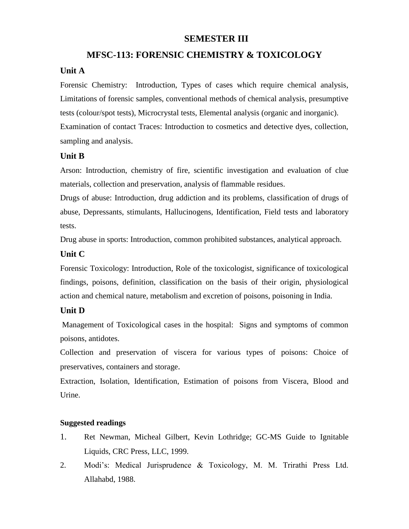# **SEMESTER III**

# **MFSC-113: FORENSIC CHEMISTRY & TOXICOLOGY**

# **Unit A**

Forensic Chemistry: Introduction, Types of cases which require chemical analysis, Limitations of forensic samples, conventional methods of chemical analysis, presumptive tests (colour/spot tests), Microcrystal tests, Elemental analysis (organic and inorganic). Examination of contact Traces: Introduction to cosmetics and detective dyes, collection, sampling and analysis.

# **Unit B**

Arson: Introduction, chemistry of fire, scientific investigation and evaluation of clue materials, collection and preservation, analysis of flammable residues.

Drugs of abuse: Introduction, drug addiction and its problems, classification of drugs of abuse, Depressants, stimulants, Hallucinogens, Identification, Field tests and laboratory tests.

Drug abuse in sports: Introduction, common prohibited substances, analytical approach.

# **Unit C**

Forensic Toxicology: Introduction, Role of the toxicologist, significance of toxicological findings, poisons, definition, classification on the basis of their origin, physiological action and chemical nature, metabolism and excretion of poisons, poisoning in India.

# **Unit D**

Management of Toxicological cases in the hospital: Signs and symptoms of common poisons, antidotes.

Collection and preservation of viscera for various types of poisons: Choice of preservatives, containers and storage.

Extraction, Isolation, Identification, Estimation of poisons from Viscera, Blood and Urine.

- 1. Ret Newman, Micheal Gilbert, Kevin Lothridge; GC-MS Guide to Ignitable Liquids, CRC Press, LLC, 1999.
- 2. Modi's: Medical Jurisprudence & Toxicology, M. M. Trirathi Press Ltd. Allahabd, 1988.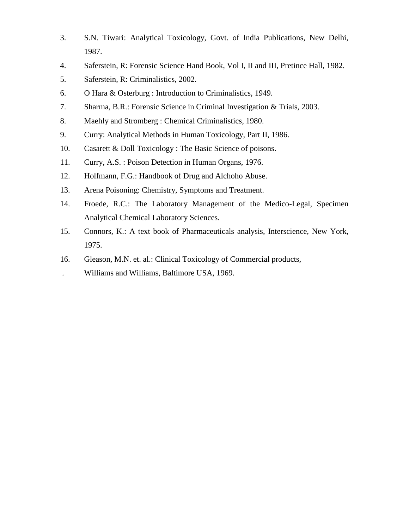- 3. S.N. Tiwari: Analytical Toxicology, Govt. of India Publications, New Delhi, 1987.
- 4. Saferstein, R: Forensic Science Hand Book, Vol I, II and III, Pretince Hall, 1982.
- 5. Saferstein, R: Criminalistics, 2002.
- 6. O Hara & Osterburg : Introduction to Criminalistics, 1949.
- 7. Sharma, B.R.: Forensic Science in Criminal Investigation & Trials, 2003.
- 8. Maehly and Stromberg : Chemical Criminalistics, 1980.
- 9. Curry: Analytical Methods in Human Toxicology, Part II, 1986.
- 10. Casarett & Doll Toxicology : The Basic Science of poisons.
- 11. Curry, A.S. : Poison Detection in Human Organs, 1976.
- 12. Holfmann, F.G.: Handbook of Drug and Alchoho Abuse.
- 13. Arena Poisoning: Chemistry, Symptoms and Treatment.
- 14. Froede, R.C.: The Laboratory Management of the Medico-Legal, Specimen Analytical Chemical Laboratory Sciences.
- 15. Connors, K.: A text book of Pharmaceuticals analysis, Interscience, New York, 1975.
- 16. Gleason, M.N. et. al.: Clinical Toxicology of Commercial products,
- . Williams and Williams, Baltimore USA, 1969.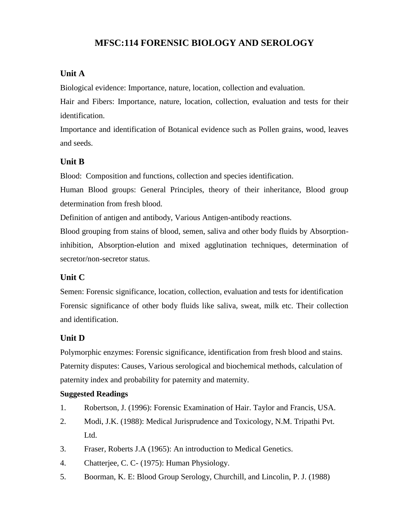# **MFSC:114 FORENSIC BIOLOGY AND SEROLOGY**

#### **Unit A**

Biological evidence: Importance, nature, location, collection and evaluation.

Hair and Fibers: Importance, nature, location, collection, evaluation and tests for their identification.

Importance and identification of Botanical evidence such as Pollen grains, wood, leaves and seeds.

#### **Unit B**

Blood: Composition and functions, collection and species identification.

Human Blood groups: General Principles, theory of their inheritance, Blood group determination from fresh blood.

Definition of antigen and antibody, Various Antigen-antibody reactions.

Blood grouping from stains of blood, semen, saliva and other body fluids by Absorptioninhibition, Absorption-elution and mixed agglutination techniques, determination of secretor/non-secretor status.

# **Unit C**

Semen: Forensic significance, location, collection, evaluation and tests for identification Forensic significance of other body fluids like saliva, sweat, milk etc. Their collection and identification.

#### **Unit D**

Polymorphic enzymes: Forensic significance, identification from fresh blood and stains. Paternity disputes: Causes, Various serological and biochemical methods, calculation of paternity index and probability for paternity and maternity.

- 1. Robertson, J. (1996): Forensic Examination of Hair. Taylor and Francis, USA.
- 2. Modi, J.K. (1988): Medical Jurisprudence and Toxicology, N.M. Tripathi Pvt. Ltd.
- 3. Fraser, Roberts J.A (1965): An introduction to Medical Genetics.
- 4. Chatterjee, C. C- (1975): Human Physiology.
- 5. Boorman, K. E: Blood Group Serology, Churchill, and Lincolin, P. J. (1988)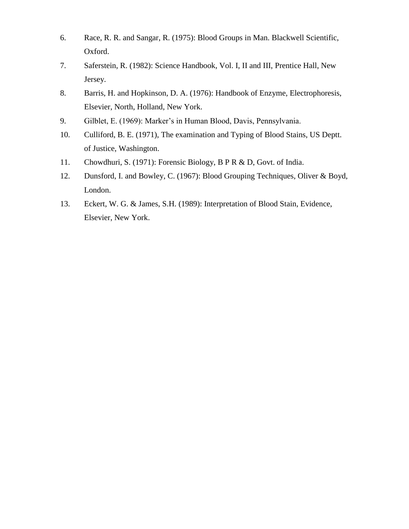- 6. Race, R. R. and Sangar, R. (1975): Blood Groups in Man. Blackwell Scientific, Oxford.
- 7. Saferstein, R. (1982): Science Handbook, Vol. I, II and III, Prentice Hall, New Jersey.
- 8. Barris, H. and Hopkinson, D. A. (1976): Handbook of Enzyme, Electrophoresis, Elsevier, North, Holland, New York.
- 9. Gilblet, E. (1969): Marker's in Human Blood, Davis, Pennsylvania.
- 10. Culliford, B. E. (1971), The examination and Typing of Blood Stains, US Deptt. of Justice, Washington.
- 11. Chowdhuri, S. (1971): Forensic Biology, B P R & D, Govt. of India.
- 12. Dunsford, I. and Bowley, C. (1967): Blood Grouping Techniques, Oliver & Boyd, London.
- 13. Eckert, W. G. & James, S.H. (1989): Interpretation of Blood Stain, Evidence, Elsevier, New York.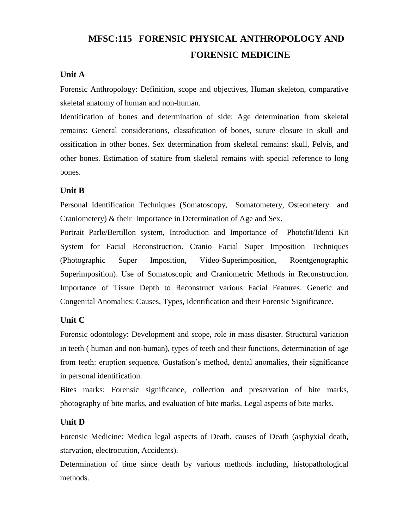# **MFSC:115 FORENSIC PHYSICAL ANTHROPOLOGY AND FORENSIC MEDICINE**

# **Unit A**

Forensic Anthropology: Definition, scope and objectives, Human skeleton, comparative skeletal anatomy of human and non-human.

Identification of bones and determination of side: Age determination from skeletal remains: General considerations, classification of bones, suture closure in skull and ossification in other bones. Sex determination from skeletal remains: skull, Pelvis, and other bones. Estimation of stature from skeletal remains with special reference to long bones.

# **Unit B**

Personal Identification Techniques (Somatoscopy, Somatometery, Osteometery and Craniometery) & their Importance in Determination of Age and Sex.

Portrait Parle/Bertillon system, Introduction and Importance of Photofit/Identi Kit System for Facial Reconstruction. Cranio Facial Super Imposition Techniques (Photographic Super Imposition, Video-Superimposition, Roentgenographic Superimposition). Use of Somatoscopic and Craniometric Methods in Reconstruction. Importance of Tissue Depth to Reconstruct various Facial Features. Genetic and Congenital Anomalies: Causes, Types, Identification and their Forensic Significance.

# **Unit C**

Forensic odontology: Development and scope, role in mass disaster. Structural variation in teeth ( human and non-human), types of teeth and their functions, determination of age from teeth: eruption sequence, Gustafson's method, dental anomalies, their significance in personal identification.

Bites marks: Forensic significance, collection and preservation of bite marks, photography of bite marks, and evaluation of bite marks. Legal aspects of bite marks.

# **Unit D**

Forensic Medicine: Medico legal aspects of Death, causes of Death (asphyxial death, starvation, electrocution, Accidents).

Determination of time since death by various methods including, histopathological methods.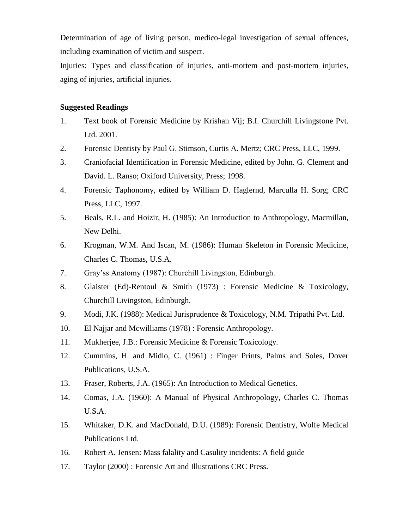Determination of age of living person, medico-legal investigation of sexual offences, including examination of victim and suspect.

Injuries: Types and classification of injuries, anti-mortem and post-mortem injuries, aging of injuries, artificial injuries.

- 1. Text book of Forensic Medicine by Krishan Vij; B.I. Churchill Livingstone Pvt. Ltd. 2001.
- 2. Forensic Dentisty by Paul G. Stimson, Curtis A. Mertz; CRC Press, LLC, 1999.
- 3. Craniofacial Identification in Forensic Medicine, edited by John. G. Clement and David. L. Ranso; Oxiford University, Press; 1998.
- 4. Forensic Taphonomy, edited by William D. Haglernd, Marculla H. Sorg; CRC Press, LLC, 1997.
- 5. Beals, R.L. and Hoizir, H. (1985): An Introduction to Anthropology, Macmillan, New Delhi.
- 6. Krogman, W.M. And Iscan, M. (1986): Human Skeleton in Forensic Medicine, Charles C. Thomas, U.S.A.
- 7. Gray'ss Anatomy (1987): Churchill Livingston, Edinburgh.
- 8. Glaister (Ed)-Rentoul & Smith (1973) : Forensic Medicine & Toxicology, Churchill Livingston, Edinburgh.
- 9. Modi, J.K. (1988): Medical Jurisprudence & Toxicology, N.M. Tripathi Pvt. Ltd.
- 10. El Najjar and Mcwilliams (1978) : Forensic Anthropology.
- 11. Mukherjee, J.B.: Forensic Medicine & Forensic Toxicology.
- 12. Cummins, H. and Midlo, C. (1961) : Finger Prints, Palms and Soles, Dover Publications, U.S.A.
- 13. Fraser, Roberts, J.A. (1965): An Introduction to Medical Genetics.
- 14. Comas, J.A. (1960): A Manual of Physical Anthropology, Charles C. Thomas U.S.A.
- 15. Whitaker, D.K. and MacDonald, D.U. (1989): Forensic Dentistry, Wolfe Medical Publications Ltd.
- 16. Robert A. Jensen: Mass falality and Casulity incidents: A field guide
- 17. Taylor (2000) : Forensic Art and Illustrations CRC Press.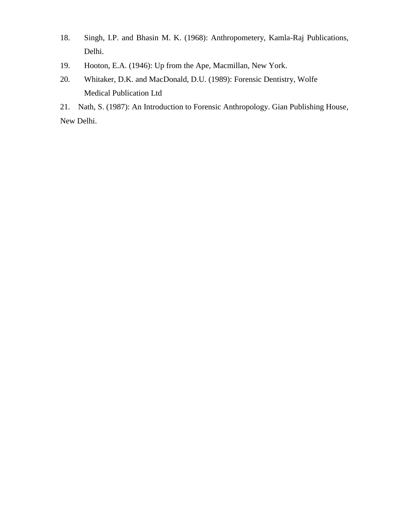- 18. Singh, I.P. and Bhasin M. K. (1968): Anthropometery, Kamla-Raj Publications, Delhi.
- 19. Hooton, E.A. (1946): Up from the Ape, Macmillan, New York.
- 20. Whitaker, D.K. and MacDonald, D.U. (1989): Forensic Dentistry, Wolfe Medical Publication Ltd

21. Nath, S. (1987): An Introduction to Forensic Anthropology. Gian Publishing House, New Delhi.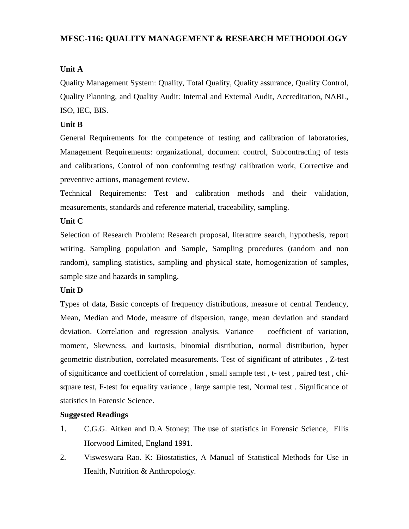# **MFSC-116: QUALITY MANAGEMENT & RESEARCH METHODOLOGY**

# **Unit A**

Quality Management System: Quality, Total Quality, Quality assurance, Quality Control, Quality Planning, and Quality Audit: Internal and External Audit, Accreditation, NABL, ISO, IEC, BIS.

# **Unit B**

General Requirements for the competence of testing and calibration of laboratories, Management Requirements: organizational, document control, Subcontracting of tests and calibrations, Control of non conforming testing/ calibration work, Corrective and preventive actions, management review.

Technical Requirements: Test and calibration methods and their validation, measurements, standards and reference material, traceability, sampling.

# **Unit C**

Selection of Research Problem: Research proposal, literature search, hypothesis, report writing. Sampling population and Sample, Sampling procedures (random and non random), sampling statistics, sampling and physical state, homogenization of samples, sample size and hazards in sampling.

# **Unit D**

Types of data, Basic concepts of frequency distributions, measure of central Tendency, Mean, Median and Mode, measure of dispersion, range, mean deviation and standard deviation. Correlation and regression analysis. Variance – coefficient of variation, moment, Skewness, and kurtosis, binomial distribution, normal distribution, hyper geometric distribution, correlated measurements. Test of significant of attributes , Z-test of significance and coefficient of correlation , small sample test , t- test , paired test , chisquare test, F-test for equality variance , large sample test, Normal test . Significance of statistics in Forensic Science.

- 1. C.G.G. Aitken and D.A Stoney; The use of statistics in Forensic Science, Ellis Horwood Limited, England 1991.
- 2. Visweswara Rao. K: Biostatistics, A Manual of Statistical Methods for Use in Health, Nutrition & Anthropology.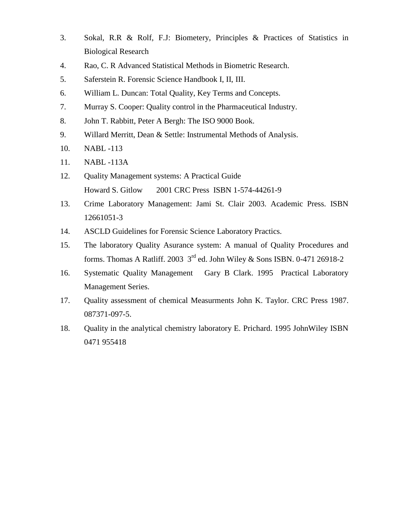- 3. Sokal, R.R & Rolf, F.J: Biometery, Principles & Practices of Statistics in Biological Research
- 4. Rao, C. R Advanced Statistical Methods in Biometric Research.
- 5. Saferstein R. Forensic Science Handbook I, II, III.
- 6. William L. Duncan: Total Quality, Key Terms and Concepts.
- 7. Murray S. Cooper: Quality control in the Pharmaceutical Industry.
- 8. John T. Rabbitt, Peter A Bergh: The ISO 9000 Book.
- 9. Willard Merritt, Dean & Settle: Instrumental Methods of Analysis.
- 10. NABL -113
- 11. NABL -113A
- 12. Quality Management systems: A Practical Guide Howard S. Gitlow 2001 CRC Press ISBN 1-574-44261-9
- 13. Crime Laboratory Management: Jami St. Clair 2003. Academic Press. ISBN 12661051-3
- 14. ASCLD Guidelines for Forensic Science Laboratory Practics.
- 15. The laboratory Quality Asurance system: A manual of Quality Procedures and forms. Thomas A Ratliff. 2003  $3^{\text{rd}}$  ed. John Wiley & Sons ISBN. 0-471 26918-2
- 16. Systematic Quality Management Gary B Clark. 1995 Practical Laboratory Management Series.
- 17. Quality assessment of chemical Measurments John K. Taylor. CRC Press 1987. 087371-097-5.
- 18. Quality in the analytical chemistry laboratory E. Prichard. 1995 JohnWiley ISBN 0471 955418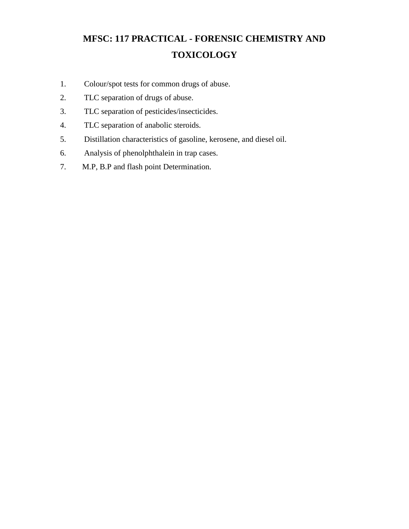# **MFSC: 117 PRACTICAL - FORENSIC CHEMISTRY AND TOXICOLOGY**

- 1. Colour/spot tests for common drugs of abuse.
- 2. TLC separation of drugs of abuse.
- 3. TLC separation of pesticides/insecticides.
- 4. TLC separation of anabolic steroids.
- 5. Distillation characteristics of gasoline, kerosene, and diesel oil.
- 6. Analysis of phenolphthalein in trap cases.
- 7. M.P, B.P and flash point Determination.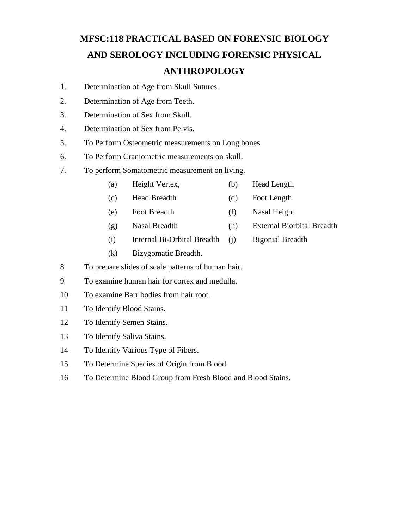# **MFSC:118 PRACTICAL BASED ON FORENSIC BIOLOGY AND SEROLOGY INCLUDING FORENSIC PHYSICAL ANTHROPOLOGY**

- 1. Determination of Age from Skull Sutures.
- 2. Determination of Age from Teeth.
- 3. Determination of Sex from Skull.
- 4. Determination of Sex from Pelvis.
- 5. To Perform Osteometric measurements on Long bones.
- 6. To Perform Craniometric measurements on skull.
- 7. To perform Somatometric measurement on living.
	- (a) Height Vertex, (b) Head Length
	- (c) Head Breadth (d) Foot Length
	- (e) Foot Breadth (f) Nasal Height
	- (g) Nasal Breadth (h) External Biorbital Breadth
	- (i) Internal Bi-Orbital Breadth (j) Bigonial Breadth
	- (k) Bizygomatic Breadth.
- 8 To prepare slides of scale patterns of human hair.
- 9 To examine human hair for cortex and medulla.
- 10 To examine Barr bodies from hair root.
- 11 To Identify Blood Stains.
- 12 To Identify Semen Stains.
- 13 To Identify Saliva Stains.
- 14 To Identify Various Type of Fibers.
- 15 To Determine Species of Origin from Blood.
- 16 To Determine Blood Group from Fresh Blood and Blood Stains.
- 
-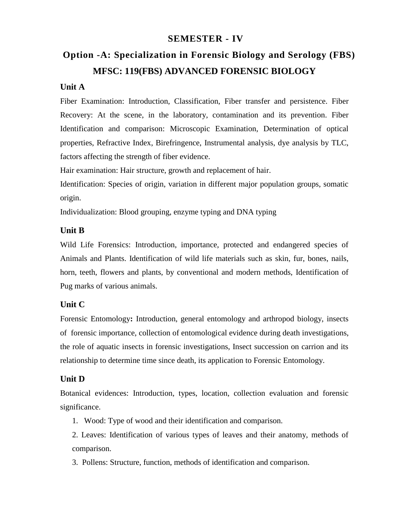# **SEMESTER - IV**

# **Option -A: Specialization in Forensic Biology and Serology (FBS) MFSC: 119(FBS) ADVANCED FORENSIC BIOLOGY**

# **Unit A**

Fiber Examination: Introduction, Classification, Fiber transfer and persistence. Fiber Recovery: At the scene, in the laboratory, contamination and its prevention. Fiber Identification and comparison: Microscopic Examination, Determination of optical properties, Refractive Index, Birefringence, Instrumental analysis, dye analysis by TLC, factors affecting the strength of fiber evidence.

Hair examination: Hair structure, growth and replacement of hair.

Identification: Species of origin, variation in different major population groups, somatic origin.

Individualization: Blood grouping, enzyme typing and DNA typing

# **Unit B**

Wild Life Forensics: Introduction, importance, protected and endangered species of Animals and Plants. Identification of wild life materials such as skin, fur, bones, nails, horn, teeth, flowers and plants, by conventional and modern methods, Identification of Pug marks of various animals.

# **Unit C**

Forensic Entomology**:** Introduction, general entomology and arthropod biology, insects of forensic importance, collection of entomological evidence during death investigations, the role of aquatic insects in forensic investigations, Insect succession on carrion and its relationship to determine time since death, its application to Forensic Entomology.

# **Unit D**

Botanical evidences: Introduction, types, location, collection evaluation and forensic significance.

1. Wood: Type of wood and their identification and comparison.

2. Leaves: Identification of various types of leaves and their anatomy, methods of comparison.

3. Pollens: Structure, function, methods of identification and comparison.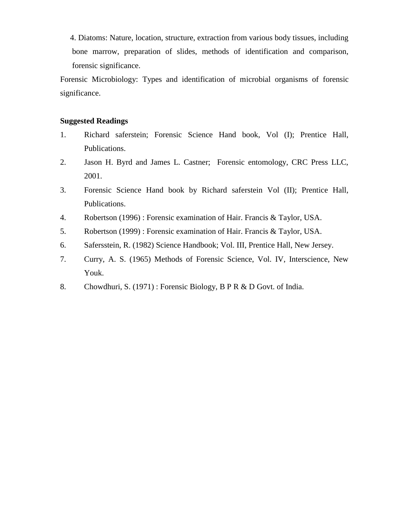4. Diatoms: Nature, location, structure, extraction from various body tissues, including bone marrow, preparation of slides, methods of identification and comparison, forensic significance.

Forensic Microbiology: Types and identification of microbial organisms of forensic significance.

- 1. Richard saferstein; Forensic Science Hand book, Vol (I); Prentice Hall, Publications.
- 2. Jason H. Byrd and James L. Castner; Forensic entomology, CRC Press LLC, 2001.
- 3. Forensic Science Hand book by Richard saferstein Vol (II); Prentice Hall, Publications.
- 4. Robertson (1996) : Forensic examination of Hair. Francis & Taylor, USA.
- 5. Robertson (1999) : Forensic examination of Hair. Francis & Taylor, USA.
- 6. Safersstein, R. (1982) Science Handbook; Vol. III, Prentice Hall, New Jersey.
- 7. Curry, A. S. (1965) Methods of Forensic Science, Vol. IV, Interscience, New Youk.
- 8. Chowdhuri, S. (1971) : Forensic Biology, B P R & D Govt. of India.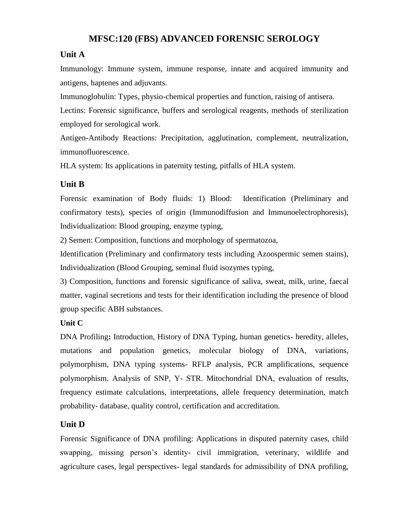# **MFSC:120 (FBS) ADVANCED FORENSIC SEROLOGY**

# **Unit A**

Immunology: Immune system, immune response, innate and acquired immunity and antigens, haptenes and adjuvants.

Immunoglobulin: Types, physio-chemical properties and function, raising of antisera.

Lectins: Forensic significance, buffers and serological reagents, methods of sterilization employed for serological work.

Antigen-Antibody Reactions: Precipitation, agglutination, complement, neutralization, immunofluorescence.

HLA system: Its applications in paternity testing, pitfalls of HLA system.

# **Unit B**

Forensic examination of Body fluids: 1) Blood: Identification (Preliminary and confirmatory tests), species of origin (Immunodiffusion and Immunoelectrophoresis), Individualization: Blood grouping, enzyme typing,

2) Semen: Composition, functions and morphology of spermatozoa,

Identification (Preliminary and confirmatory tests including Azoospermic semen stains), Individualization (Blood Grouping, seminal fluid isozymes typing,

3) Composition, functions and forensic significance of saliva, sweat, milk, urine, faecal matter, vaginal secretions and tests for their identification including the presence of blood group specific ABH substances.

# **Unit C**

DNA Profiling**:** Introduction, History of DNA Typing, human genetics- heredity, alleles, mutations and population genetics, molecular biology of DNA, variations, polymorphism, DNA typing systems- RFLP analysis, PCR amplifications, sequence polymorphism. Analysis of SNP, Y- STR. Mitochondrial DNA, evaluation of results, frequency estimate calculations, interpretations, allele frequency determination, match probability- database, quality control, certification and accreditation.

# **Unit D**

Forensic Significance of DNA profiling: Applications in disputed paternity cases, child swapping, missing person's identity- civil immigration, veterinary, wildlife and agriculture cases, legal perspectives- legal standards for admissibility of DNA profiling,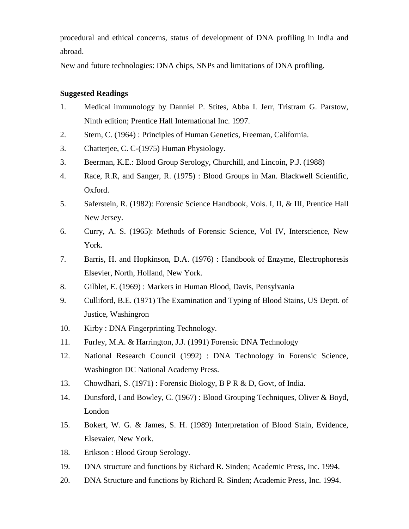procedural and ethical concerns, status of development of DNA profiling in India and abroad.

New and future technologies: DNA chips, SNPs and limitations of DNA profiling.

- 1. Medical immunology by Danniel P. Stites, Abba I. Jerr, Tristram G. Parstow, Ninth edition; Prentice Hall International Inc. 1997.
- 2. Stern, C. (1964) : Principles of Human Genetics, Freeman, California.
- 3. Chatterjee, C. C-(1975) Human Physiology.
- 3. Beerman, K.E.: Blood Group Serology, Churchill, and Lincoin, P.J. (1988)
- 4. Race, R.R, and Sanger, R. (1975) : Blood Groups in Man. Blackwell Scientific, Oxford.
- 5. Saferstein, R. (1982): Forensic Science Handbook, Vols. I, II, & III, Prentice Hall New Jersey.
- 6. Curry, A. S. (1965): Methods of Forensic Science, Vol IV, Interscience, New York.
- 7. Barris, H. and Hopkinson, D.A. (1976) : Handbook of Enzyme, Electrophoresis Elsevier, North, Holland, New York.
- 8. Gilblet, E. (1969) : Markers in Human Blood, Davis, Pensylvania
- 9. Culliford, B.E. (1971) The Examination and Typing of Blood Stains, US Deptt. of Justice, Washingron
- 10. Kirby : DNA Fingerprinting Technology.
- 11. Furley, M.A. & Harrington, J.J. (1991) Forensic DNA Technology
- 12. National Research Council (1992) : DNA Technology in Forensic Science, Washington DC National Academy Press.
- 13. Chowdhari, S. (1971) : Forensic Biology, B P R & D, Govt, of India.
- 14. Dunsford, I and Bowley, C. (1967) : Blood Grouping Techniques, Oliver & Boyd, London
- 15. Bokert, W. G. & James, S. H. (1989) Interpretation of Blood Stain, Evidence, Elsevaier, New York.
- 18. Erikson : Blood Group Serology.
- 19. DNA structure and functions by Richard R. Sinden; Academic Press, Inc. 1994.
- 20. DNA Structure and functions by Richard R. Sinden; Academic Press, Inc. 1994.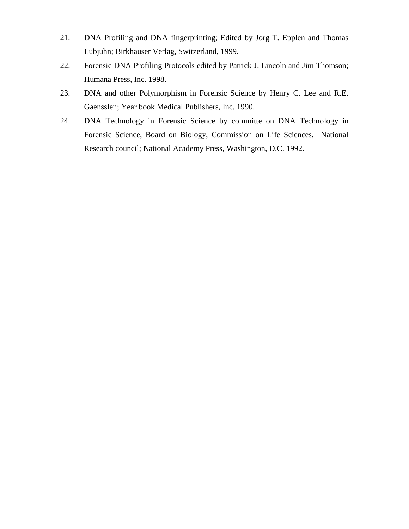- 21. DNA Profiling and DNA fingerprinting; Edited by Jorg T. Epplen and Thomas Lubjuhn; Birkhauser Verlag, Switzerland, 1999.
- 22. Forensic DNA Profiling Protocols edited by Patrick J. Lincoln and Jim Thomson; Humana Press, Inc. 1998.
- 23. DNA and other Polymorphism in Forensic Science by Henry C. Lee and R.E. Gaensslen; Year book Medical Publishers, Inc. 1990.
- 24. DNA Technology in Forensic Science by committe on DNA Technology in Forensic Science, Board on Biology, Commission on Life Sciences, National Research council; National Academy Press, Washington, D.C. 1992.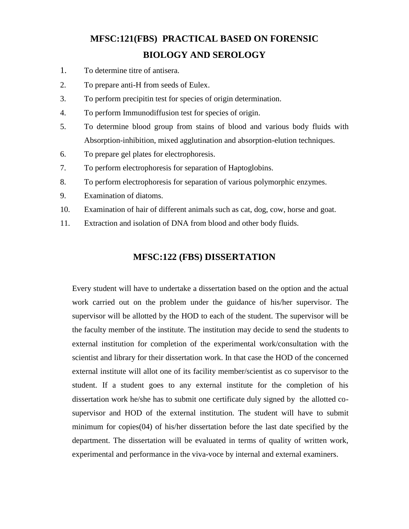# **MFSC:121(FBS) PRACTICAL BASED ON FORENSIC BIOLOGY AND SEROLOGY**

- 1. To determine titre of antisera.
- 2. To prepare anti-H from seeds of Eulex.
- 3. To perform precipitin test for species of origin determination.
- 4. To perform Immunodiffusion test for species of origin.
- 5. To determine blood group from stains of blood and various body fluids with Absorption-inhibition, mixed agglutination and absorption-elution techniques.
- 6. To prepare gel plates for electrophoresis.
- 7. To perform electrophoresis for separation of Haptoglobins.
- 8. To perform electrophoresis for separation of various polymorphic enzymes.
- 9. Examination of diatoms.
- 10. Examination of hair of different animals such as cat, dog, cow, horse and goat.
- 11. Extraction and isolation of DNA from blood and other body fluids.

# **MFSC:122 (FBS) DISSERTATION**

Every student will have to undertake a dissertation based on the option and the actual work carried out on the problem under the guidance of his/her supervisor. The supervisor will be allotted by the HOD to each of the student. The supervisor will be the faculty member of the institute. The institution may decide to send the students to external institution for completion of the experimental work/consultation with the scientist and library for their dissertation work. In that case the HOD of the concerned external institute will allot one of its facility member/scientist as co supervisor to the student. If a student goes to any external institute for the completion of his dissertation work he/she has to submit one certificate duly signed by the allotted cosupervisor and HOD of the external institution. The student will have to submit minimum for copies(04) of his/her dissertation before the last date specified by the department. The dissertation will be evaluated in terms of quality of written work, experimental and performance in the viva-voce by internal and external examiners.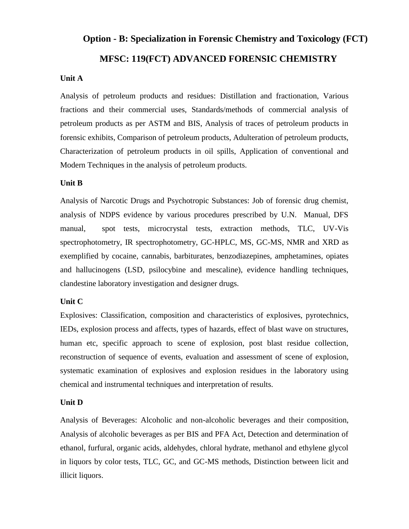# **Option - B: Specialization in Forensic Chemistry and Toxicology (FCT) MFSC: 119(FCT) ADVANCED FORENSIC CHEMISTRY**

#### **Unit A**

Analysis of petroleum products and residues: Distillation and fractionation, Various fractions and their commercial uses, Standards/methods of commercial analysis of petroleum products as per ASTM and BIS, Analysis of traces of petroleum products in forensic exhibits, Comparison of petroleum products, Adulteration of petroleum products, Characterization of petroleum products in oil spills, Application of conventional and Modern Techniques in the analysis of petroleum products.

#### **Unit B**

Analysis of Narcotic Drugs and Psychotropic Substances: Job of forensic drug chemist, analysis of NDPS evidence by various procedures prescribed by U.N. Manual, DFS manual, spot tests, microcrystal tests, extraction methods, TLC, UV-Vis spectrophotometry, IR spectrophotometry, GC-HPLC, MS, GC-MS, NMR and XRD as exemplified by cocaine, cannabis, barbiturates, benzodiazepines, amphetamines, opiates and hallucinogens (LSD, psilocybine and mescaline), evidence handling techniques, clandestine laboratory investigation and designer drugs.

#### **Unit C**

Explosives: Classification, composition and characteristics of explosives, pyrotechnics, IEDs, explosion process and affects, types of hazards, effect of blast wave on structures, human etc, specific approach to scene of explosion, post blast residue collection, reconstruction of sequence of events, evaluation and assessment of scene of explosion, systematic examination of explosives and explosion residues in the laboratory using chemical and instrumental techniques and interpretation of results.

#### **Unit D**

Analysis of Beverages: Alcoholic and non-alcoholic beverages and their composition, Analysis of alcoholic beverages as per BIS and PFA Act, Detection and determination of ethanol, furfural, organic acids, aldehydes, chloral hydrate, methanol and ethylene glycol in liquors by color tests, TLC, GC, and GC-MS methods, Distinction between licit and illicit liquors.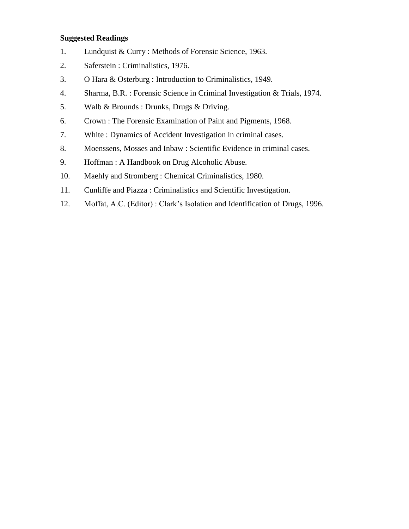- 1. Lundquist & Curry : Methods of Forensic Science, 1963.
- 2. Saferstein : Criminalistics, 1976.
- 3. O Hara & Osterburg : Introduction to Criminalistics, 1949.
- 4. Sharma, B.R. : Forensic Science in Criminal Investigation & Trials, 1974.
- 5. Walb & Brounds : Drunks, Drugs & Driving.
- 6. Crown : The Forensic Examination of Paint and Pigments, 1968.
- 7. White : Dynamics of Accident Investigation in criminal cases.
- 8. Moenssens, Mosses and Inbaw : Scientific Evidence in criminal cases.
- 9. Hoffman : A Handbook on Drug Alcoholic Abuse.
- 10. Maehly and Stromberg : Chemical Criminalistics, 1980.
- 11. Cunliffe and Piazza : Criminalistics and Scientific Investigation.
- 12. Moffat, A.C. (Editor) : Clark's Isolation and Identification of Drugs, 1996.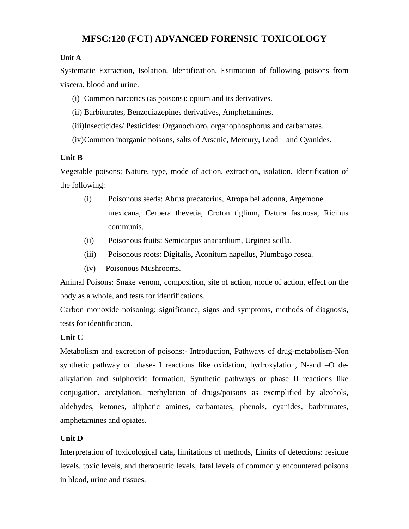# **MFSC:120 (FCT) ADVANCED FORENSIC TOXICOLOGY**

#### **Unit A**

Systematic Extraction, Isolation, Identification, Estimation of following poisons from viscera, blood and urine.

- (i) Common narcotics (as poisons): opium and its derivatives.
- (ii) Barbiturates, Benzodiazepines derivatives, Amphetamines.
- (iii)Insecticides/ Pesticides: Organochloro, organophosphorus and carbamates.
- (iv)Common inorganic poisons, salts of Arsenic, Mercury, Lead and Cyanides.

#### **Unit B**

Vegetable poisons: Nature, type, mode of action, extraction, isolation, Identification of the following:

- (i) Poisonous seeds: Abrus precatorius, Atropa belladonna, Argemone mexicana, Cerbera thevetia, Croton tiglium, Datura fastuosa, Ricinus communis.
- (ii) Poisonous fruits: Semicarpus anacardium, Urginea scilla.
- (iii) Poisonous roots: Digitalis, Aconitum napellus, Plumbago rosea.
- (iv) Poisonous Mushrooms.

Animal Poisons: Snake venom, composition, site of action, mode of action, effect on the body as a whole, and tests for identifications.

Carbon monoxide poisoning: significance, signs and symptoms, methods of diagnosis, tests for identification.

#### **Unit C**

Metabolism and excretion of poisons:- Introduction, Pathways of drug-metabolism-Non synthetic pathway or phase- I reactions like oxidation, hydroxylation, N-and –O dealkylation and sulphoxide formation, Synthetic pathways or phase II reactions like conjugation, acetylation, methylation of drugs/poisons as exemplified by alcohols, aldehydes, ketones, aliphatic amines, carbamates, phenols, cyanides, barbiturates, amphetamines and opiates.

# **Unit D**

Interpretation of toxicological data, limitations of methods, Limits of detections: residue levels, toxic levels, and therapeutic levels, fatal levels of commonly encountered poisons in blood, urine and tissues.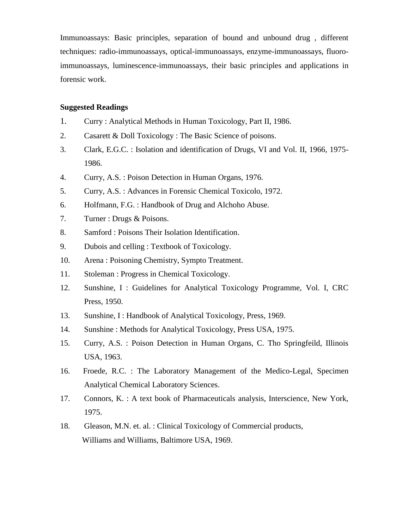Immunoassays: Basic principles, separation of bound and unbound drug , different techniques: radio-immunoassays, optical-immunoassays, enzyme-immunoassays, fluoroimmunoassays, luminescence-immunoassays, their basic principles and applications in forensic work.

- 1. Curry : Analytical Methods in Human Toxicology, Part II, 1986.
- 2. Casarett & Doll Toxicology : The Basic Science of poisons.
- 3. Clark, E.G.C. : Isolation and identification of Drugs, VI and Vol. II, 1966, 1975- 1986.
- 4. Curry, A.S. : Poison Detection in Human Organs, 1976.
- 5. Curry, A.S. : Advances in Forensic Chemical Toxicolo, 1972.
- 6. Holfmann, F.G. : Handbook of Drug and Alchoho Abuse.
- 7. Turner : Drugs & Poisons.
- 8. Samford : Poisons Their Isolation Identification.
- 9. Dubois and celling : Textbook of Toxicology.
- 10. Arena : Poisoning Chemistry, Sympto Treatment.
- 11. Stoleman : Progress in Chemical Toxicology.
- 12. Sunshine, I : Guidelines for Analytical Toxicology Programme, Vol. I, CRC Press, 1950.
- 13. Sunshine, I: Handbook of Analytical Toxicology, Press, 1969.
- 14. Sunshine : Methods for Analytical Toxicology, Press USA, 1975.
- 15. Curry, A.S. : Poison Detection in Human Organs, C. Tho Springfeild, Illinois USA, 1963.
- 16. Froede, R.C. : The Laboratory Management of the Medico-Legal, Specimen Analytical Chemical Laboratory Sciences.
- 17. Connors, K. : A text book of Pharmaceuticals analysis, Interscience, New York, 1975.
- 18. Gleason, M.N. et. al. : Clinical Toxicology of Commercial products, Williams and Williams, Baltimore USA, 1969.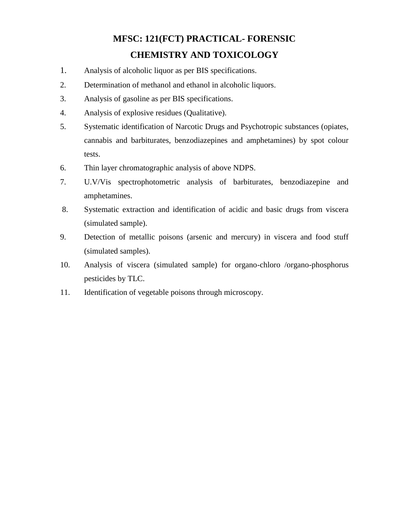# **MFSC: 121(FCT) PRACTICAL- FORENSIC CHEMISTRY AND TOXICOLOGY**

- 1. Analysis of alcoholic liquor as per BIS specifications.
- 2. Determination of methanol and ethanol in alcoholic liquors.
- 3. Analysis of gasoline as per BIS specifications.
- 4. Analysis of explosive residues (Qualitative).
- 5. Systematic identification of Narcotic Drugs and Psychotropic substances (opiates, cannabis and barbiturates, benzodiazepines and amphetamines) by spot colour tests.
- 6. Thin layer chromatographic analysis of above NDPS.
- 7. U.V/Vis spectrophotometric analysis of barbiturates, benzodiazepine and amphetamines.
- 8. Systematic extraction and identification of acidic and basic drugs from viscera (simulated sample).
- 9. Detection of metallic poisons (arsenic and mercury) in viscera and food stuff (simulated samples).
- 10. Analysis of viscera (simulated sample) for organo-chloro /organo-phosphorus pesticides by TLC.
- 11. Identification of vegetable poisons through microscopy.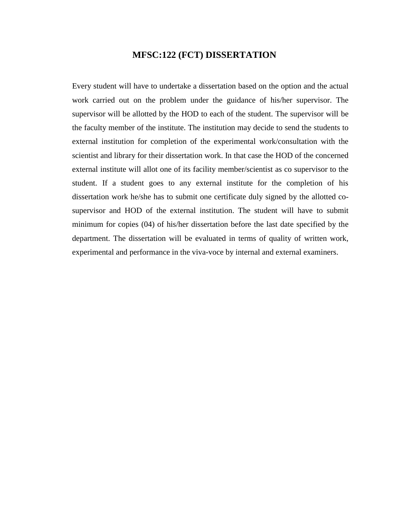# **MFSC:122 (FCT) DISSERTATION**

Every student will have to undertake a dissertation based on the option and the actual work carried out on the problem under the guidance of his/her supervisor. The supervisor will be allotted by the HOD to each of the student. The supervisor will be the faculty member of the institute. The institution may decide to send the students to external institution for completion of the experimental work/consultation with the scientist and library for their dissertation work. In that case the HOD of the concerned external institute will allot one of its facility member/scientist as co supervisor to the student. If a student goes to any external institute for the completion of his dissertation work he/she has to submit one certificate duly signed by the allotted cosupervisor and HOD of the external institution. The student will have to submit minimum for copies (04) of his/her dissertation before the last date specified by the department. The dissertation will be evaluated in terms of quality of written work, experimental and performance in the viva-voce by internal and external examiners.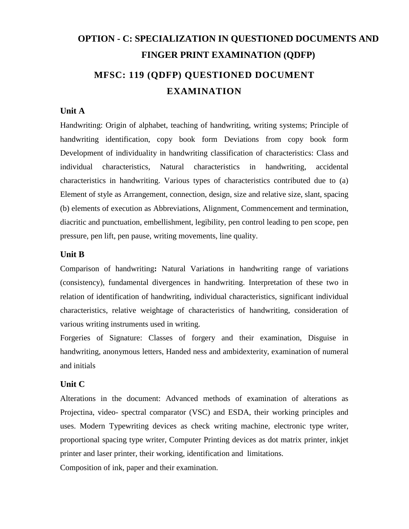# **OPTION - C: SPECIALIZATION IN QUESTIONED DOCUMENTS AND FINGER PRINT EXAMINATION (QDFP) MFSC: 119 (QDFP) QUESTIONED DOCUMENT EXAMINATION**

#### **Unit A**

Handwriting: Origin of alphabet, teaching of handwriting, writing systems; Principle of handwriting identification, copy book form Deviations from copy book form Development of individuality in handwriting classification of characteristics: Class and individual characteristics, Natural characteristics in handwriting, accidental characteristics in handwriting. Various types of characteristics contributed due to (a) Element of style as Arrangement, connection, design, size and relative size, slant, spacing (b) elements of execution as Abbreviations, Alignment, Commencement and termination, diacritic and punctuation, embellishment, legibility, pen control leading to pen scope, pen pressure, pen lift, pen pause, writing movements, line quality.

#### **Unit B**

Comparison of handwriting**:** Natural Variations in handwriting range of variations (consistency), fundamental divergences in handwriting. Interpretation of these two in relation of identification of handwriting, individual characteristics, significant individual characteristics, relative weightage of characteristics of handwriting, consideration of various writing instruments used in writing.

Forgeries of Signature: Classes of forgery and their examination, Disguise in handwriting, anonymous letters, Handed ness and ambidexterity, examination of numeral and initials

#### **Unit C**

Alterations in the document: Advanced methods of examination of alterations as Projectina, video- spectral comparator (VSC) and ESDA, their working principles and uses. Modern Typewriting devices as check writing machine, electronic type writer, proportional spacing type writer, Computer Printing devices as dot matrix printer, inkjet printer and laser printer, their working, identification and limitations.

Composition of ink, paper and their examination.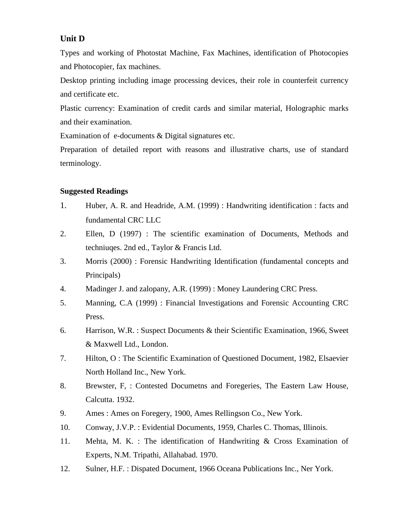# **Unit D**

Types and working of Photostat Machine, Fax Machines, identification of Photocopies and Photocopier, fax machines.

Desktop printing including image processing devices, their role in counterfeit currency and certificate etc.

Plastic currency: Examination of credit cards and similar material, Holographic marks and their examination.

Examination of e-documents & Digital signatures etc.

Preparation of detailed report with reasons and illustrative charts, use of standard terminology.

- 1. Huber, A. R. and Headride, A.M. (1999) : Handwriting identification : facts and fundamental CRC LLC
- 2. Ellen, D (1997) : The scientific examination of Documents, Methods and techniuqes. 2nd ed., Taylor & Francis Ltd.
- 3. Morris (2000) : Forensic Handwriting Identification (fundamental concepts and Principals)
- 4. Madinger J. and zalopany, A.R. (1999) : Money Laundering CRC Press.
- 5. Manning, C.A (1999) : Financial Investigations and Forensic Accounting CRC Press.
- 6. Harrison, W.R. : Suspect Documents & their Scientific Examination, 1966, Sweet & Maxwell Ltd., London.
- 7. Hilton, O : The Scientific Examination of Questioned Document, 1982, Elsaevier North Holland Inc., New York.
- 8. Brewster, F, : Contested Documetns and Foregeries, The Eastern Law House, Calcutta. 1932.
- 9. Ames : Ames on Foregery, 1900, Ames Rellingson Co., New York.
- 10. Conway, J.V.P. : Evidential Documents, 1959, Charles C. Thomas, Illinois.
- 11. Mehta, M. K. : The identification of Handwriting & Cross Examination of Experts, N.M. Tripathi, Allahabad. 1970.
- 12. Sulner, H.F. : Dispated Document, 1966 Oceana Publications Inc., Ner York.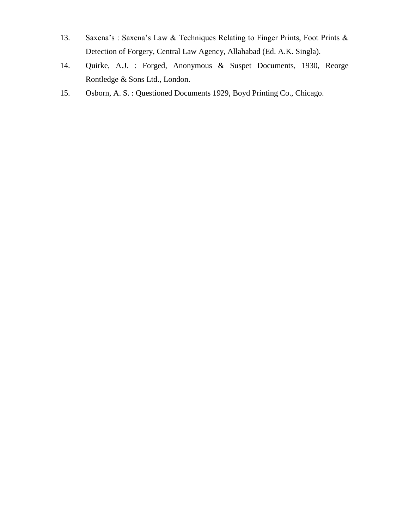- 13. Saxena's : Saxena's Law & Techniques Relating to Finger Prints, Foot Prints & Detection of Forgery, Central Law Agency, Allahabad (Ed. A.K. Singla).
- 14. Quirke, A.J. : Forged, Anonymous & Suspet Documents, 1930, Reorge Rontledge & Sons Ltd., London.
- 15. Osborn, A. S. : Questioned Documents 1929, Boyd Printing Co., Chicago.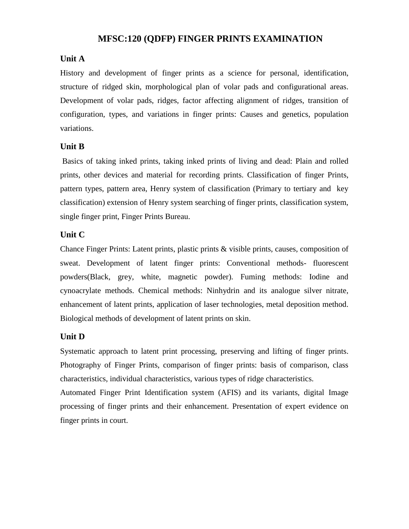# **MFSC:120 (QDFP) FINGER PRINTS EXAMINATION**

#### **Unit A**

History and development of finger prints as a science for personal, identification, structure of ridged skin, morphological plan of volar pads and configurational areas. Development of volar pads, ridges, factor affecting alignment of ridges, transition of configuration, types, and variations in finger prints: Causes and genetics, population variations.

#### **Unit B**

Basics of taking inked prints, taking inked prints of living and dead: Plain and rolled prints, other devices and material for recording prints. Classification of finger Prints, pattern types, pattern area, Henry system of classification (Primary to tertiary and key classification) extension of Henry system searching of finger prints, classification system, single finger print, Finger Prints Bureau.

#### **Unit C**

Chance Finger Prints: Latent prints, plastic prints & visible prints, causes, composition of sweat. Development of latent finger prints: Conventional methods- fluorescent powders(Black, grey, white, magnetic powder). Fuming methods: Iodine and cynoacrylate methods. Chemical methods: Ninhydrin and its analogue silver nitrate, enhancement of latent prints, application of laser technologies, metal deposition method. Biological methods of development of latent prints on skin.

# **Unit D**

Systematic approach to latent print processing, preserving and lifting of finger prints. Photography of Finger Prints, comparison of finger prints: basis of comparison, class characteristics, individual characteristics, various types of ridge characteristics.

Automated Finger Print Identification system (AFIS) and its variants, digital Image processing of finger prints and their enhancement. Presentation of expert evidence on finger prints in court.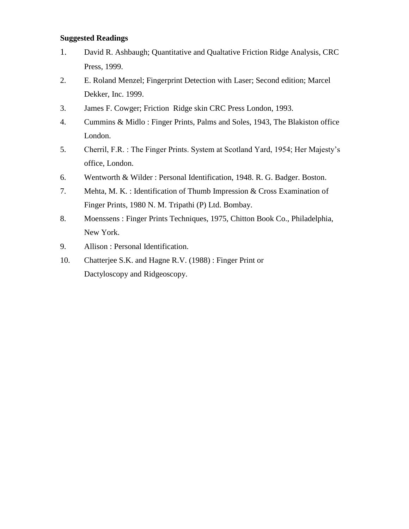- 1. David R. Ashbaugh; Quantitative and Qualtative Friction Ridge Analysis, CRC Press, 1999.
- 2. E. Roland Menzel; Fingerprint Detection with Laser; Second edition; Marcel Dekker, Inc. 1999.
- 3. James F. Cowger; Friction Ridge skin CRC Press London, 1993.
- 4. Cummins & Midlo : Finger Prints, Palms and Soles, 1943, The Blakiston office London.
- 5. Cherril, F.R. : The Finger Prints. System at Scotland Yard, 1954; Her Majesty's office, London.
- 6. Wentworth & Wilder : Personal Identification, 1948. R. G. Badger. Boston.
- 7. Mehta, M. K. : Identification of Thumb Impression & Cross Examination of Finger Prints, 1980 N. M. Tripathi (P) Ltd. Bombay.
- 8. Moenssens : Finger Prints Techniques, 1975, Chitton Book Co., Philadelphia, New York.
- 9. Allison : Personal Identification.
- 10. Chatterjee S.K. and Hagne R.V. (1988) : Finger Print or Dactyloscopy and Ridgeoscopy.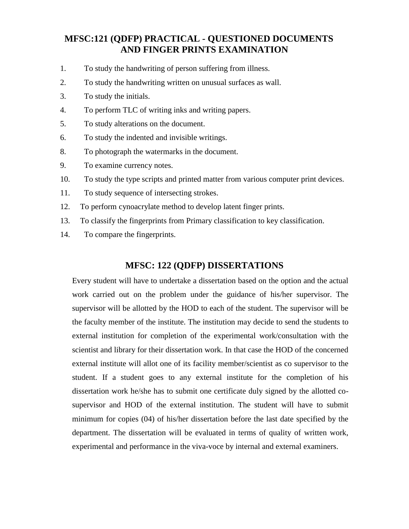# **MFSC:121 (QDFP) PRACTICAL - QUESTIONED DOCUMENTS AND FINGER PRINTS EXAMINATION**

- 1. To study the handwriting of person suffering from illness.
- 2. To study the handwriting written on unusual surfaces as wall.
- 3. To study the initials.
- 4. To perform TLC of writing inks and writing papers.
- 5. To study alterations on the document.
- 6. To study the indented and invisible writings.
- 8. To photograph the watermarks in the document.
- 9. To examine currency notes.
- 10. To study the type scripts and printed matter from various computer print devices.
- 11. To study sequence of intersecting strokes.
- 12. To perform cynoacrylate method to develop latent finger prints.
- 13. To classify the fingerprints from Primary classification to key classification.
- 14. To compare the fingerprints.

# **MFSC: 122 (QDFP) DISSERTATIONS**

Every student will have to undertake a dissertation based on the option and the actual work carried out on the problem under the guidance of his/her supervisor. The supervisor will be allotted by the HOD to each of the student. The supervisor will be the faculty member of the institute. The institution may decide to send the students to external institution for completion of the experimental work/consultation with the scientist and library for their dissertation work. In that case the HOD of the concerned external institute will allot one of its facility member/scientist as co supervisor to the student. If a student goes to any external institute for the completion of his dissertation work he/she has to submit one certificate duly signed by the allotted cosupervisor and HOD of the external institution. The student will have to submit minimum for copies (04) of his/her dissertation before the last date specified by the department. The dissertation will be evaluated in terms of quality of written work, experimental and performance in the viva-voce by internal and external examiners.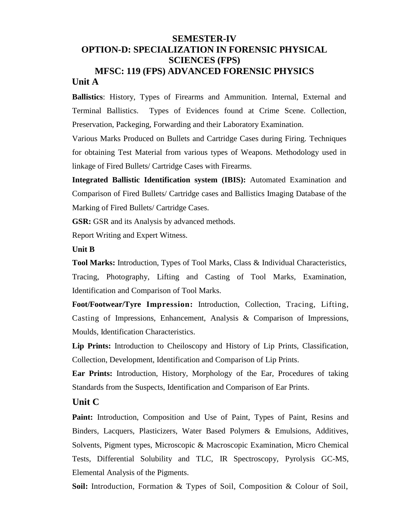# **SEMESTER-IV OPTION-D: SPECIALIZATION IN FORENSIC PHYSICAL SCIENCES (FPS) MFSC: 119 (FPS) ADVANCED FORENSIC PHYSICS Unit A**

**Ballistics**: History, Types of Firearms and Ammunition. Internal, External and Terminal Ballistics. Types of Evidences found at Crime Scene. Collection, Preservation, Packeging, Forwarding and their Laboratory Examination.

Various Marks Produced on Bullets and Cartridge Cases during Firing. Techniques for obtaining Test Material from various types of Weapons. Methodology used in linkage of Fired Bullets/ Cartridge Cases with Firearms.

**Integrated Ballistic Identification system (IBIS):** Automated Examination and Comparison of Fired Bullets/ Cartridge cases and Ballistics Imaging Database of the Marking of Fired Bullets/ Cartridge Cases.

**GSR:** GSR and its Analysis by advanced methods.

Report Writing and Expert Witness.

#### **Unit B**

**Tool Marks:** Introduction, Types of Tool Marks, Class & Individual Characteristics, Tracing, Photography, Lifting and Casting of Tool Marks, Examination, Identification and Comparison of Tool Marks.

**Foot/Footwear/Tyre Impression:** Introduction, Collection, Tracing, Lifting, Casting of Impressions, Enhancement, Analysis & Comparison of Impressions, Moulds, Identification Characteristics.

**Lip Prints:** Introduction to Cheiloscopy and History of Lip Prints, Classification, Collection, Development, Identification and Comparison of Lip Prints.

**Ear Prints:** Introduction, History, Morphology of the Ear, Procedures of taking Standards from the Suspects, Identification and Comparison of Ear Prints.

# **Unit C**

Paint: Introduction, Composition and Use of Paint, Types of Paint, Resins and Binders, Lacquers, Plasticizers, Water Based Polymers & Emulsions, Additives, Solvents, Pigment types, Microscopic & Macroscopic Examination, Micro Chemical Tests, Differential Solubility and TLC, IR Spectroscopy, Pyrolysis GC-MS, Elemental Analysis of the Pigments.

**Soil:** Introduction, Formation & Types of Soil, Composition & Colour of Soil,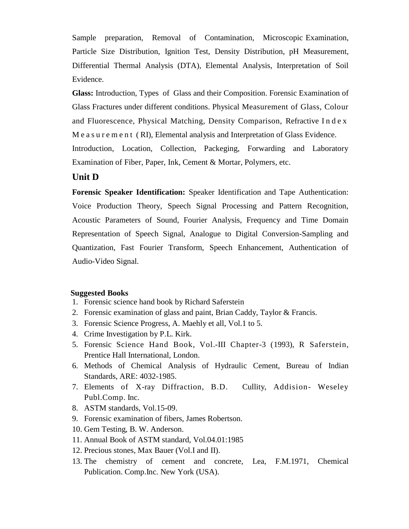Sample preparation, Removal of Contamination, Microscopic Examination, Particle Size Distribution, Ignition Test, Density Distribution, pH Measurement, Differential Thermal Analysis (DTA), Elemental Analysis, Interpretation of Soil Evidence.

**Glass:** Introduction, Types of Glass and their Composition. Forensic Examination of Glass Fractures under different conditions. Physical Measurement of Glass, Colour and Fluorescence, Physical Matching, Density Comparison, Refractive I n d e x M e a s u r e m e n t ( RI), Elemental analysis and Interpretation of Glass Evidence.

Introduction, Location, Collection, Packeging, Forwarding and Laboratory Examination of Fiber, Paper, Ink, Cement & Mortar, Polymers, etc.

# **Unit D**

**Forensic Speaker Identification:** Speaker Identification and Tape Authentication: Voice Production Theory, Speech Signal Processing and Pattern Recognition, Acoustic Parameters of Sound, Fourier Analysis, Frequency and Time Domain Representation of Speech Signal, Analogue to Digital Conversion-Sampling and Quantization, Fast Fourier Transform, Speech Enhancement, Authentication of Audio-Video Signal.

#### **Suggested Books**

- 1. Forensic science hand book by Richard Saferstein
- 2. Forensic examination of glass and paint, Brian Caddy, Taylor & Francis.
- 3. Forensic Science Progress, A. Maehly et all, Vol.1 to 5.
- 4. Crime Investigation by P.L. Kirk.
- 5. Forensic Science Hand Book, Vol.-III Chapter-3 (1993), R Saferstein, Prentice Hall International, London.
- 6. Methods of Chemical Analysis of Hydraulic Cement, Bureau of Indian Standards, ARE: 4032-1985.
- 7. Elements of X-ray Diffraction, B.D. Cullity, Addision- Weseley Publ.Comp. Inc.
- 8. ASTM standards, Vol.15-09.
- 9. Forensic examination of fibers, James Robertson.
- 10. Gem Testing, B. W. Anderson.
- 11. Annual Book of ASTM standard, Vol.04.01:1985
- 12. Precious stones, Max Bauer (Vol.I and II).
- 13. The chemistry of cement and concrete, Lea, F.M.1971, Chemical Publication. Comp.Inc. New York (USA).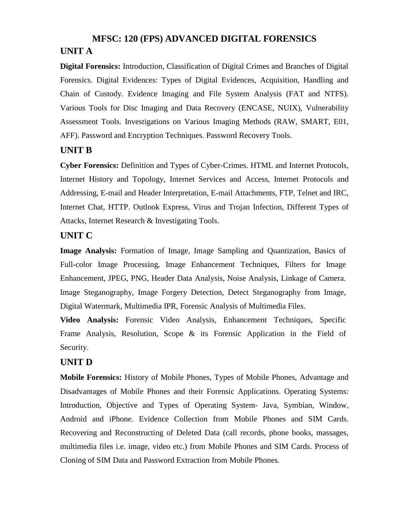# **MFSC: 120 (FPS) ADVANCED DIGITAL FORENSICS UNIT A**

**Digital Forensics:** Introduction, Classification of Digital Crimes and Branches of Digital Forensics. Digital Evidences: Types of Digital Evidences, Acquisition, Handling and Chain of Custody. Evidence Imaging and File System Analysis (FAT and NTFS). Various Tools for Disc Imaging and Data Recovery (ENCASE, NUIX), Vulnerability Assessment Tools. Investigations on Various Imaging Methods (RAW, SMART, E01, AFF). Password and Encryption Techniques. Password Recovery Tools.

# **UNIT B**

**Cyber Forensics:** Definition and Types of Cyber-Crimes. HTML and Internet Protocols, Internet History and Topology, Internet Services and Access, Internet Protocols and Addressing, E-mail and Header Interpretation, E-mail Attachments, FTP, Telnet and IRC, Internet Chat, HTTP. Outlook Express, Virus and Trojan Infection, Different Types of Attacks, Internet Research & Investigating Tools.

# **UNIT C**

**Image Analysis:** Formation of Image, Image Sampling and Quantization, Basics of Full-color Image Processing, Image Enhancement Techniques, Filters for Image Enhancement, JPEG, PNG, Header Data Analysis, Noise Analysis, Linkage of Camera. Image Steganography, Image Forgery Detection, Detect Steganography from Image, Digital Watermark, Multimedia IPR, Forensic Analysis of Multimedia Files.

**Video Analysis:** Forensic Video Analysis, Enhancement Techniques, Specific Frame Analysis, Resolution, Scope & its Forensic Application in the Field of Security.

# **UNIT D**

**Mobile Forensics:** History of Mobile Phones, Types of Mobile Phones, Advantage and Disadvantages of Mobile Phones and their Forensic Applications. Operating Systems: Introduction, Objective and Types of Operating System- Java, Symbian, Window, Android and iPhone. Evidence Collection from Mobile Phones and SIM Cards. Recovering and Reconstructing of Deleted Data (call records, phone books, massages, multimedia files i.e. image, video etc.) from Mobile Phones and SIM Cards. Process of Cloning of SIM Data and Password Extraction from Mobile Phones.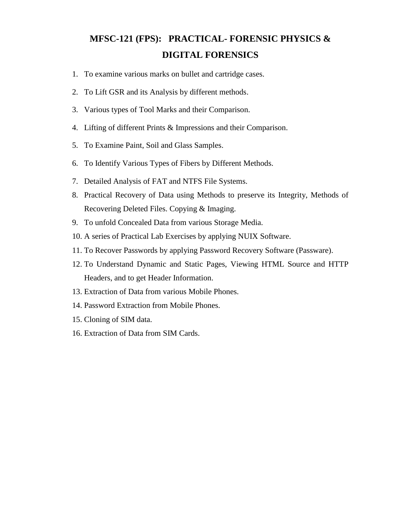# **MFSC-121 (FPS): PRACTICAL- FORENSIC PHYSICS & DIGITAL FORENSICS**

- 1. To examine various marks on bullet and cartridge cases.
- 2. To Lift GSR and its Analysis by different methods.
- 3. Various types of Tool Marks and their Comparison.
- 4. Lifting of different Prints & Impressions and their Comparison.
- 5. To Examine Paint, Soil and Glass Samples.
- 6. To Identify Various Types of Fibers by Different Methods.
- 7. Detailed Analysis of FAT and NTFS File Systems.
- 8. Practical Recovery of Data using Methods to preserve its Integrity, Methods of Recovering Deleted Files. Copying & Imaging.
- 9. To unfold Concealed Data from various Storage Media.
- 10. A series of Practical Lab Exercises by applying NUIX Software.
- 11. To Recover Passwords by applying Password Recovery Software (Passware).
- 12. To Understand Dynamic and Static Pages, Viewing HTML Source and HTTP Headers, and to get Header Information.
- 13. Extraction of Data from various Mobile Phones.
- 14. Password Extraction from Mobile Phones.
- 15. Cloning of SIM data.
- 16. Extraction of Data from SIM Cards.